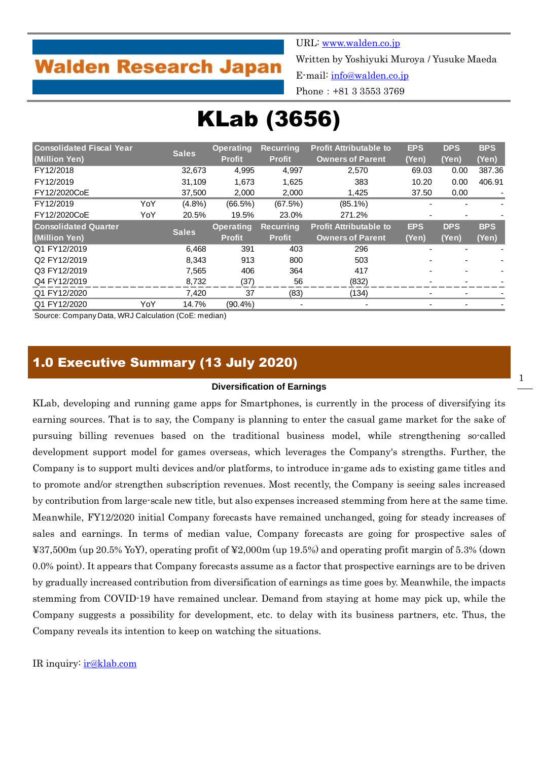## **Walden Research Japan**

URL: [www.walden.co.jp](http://www.walden.co.jp/)

Written by Yoshiyuki Muroya / Yusuke Maeda

E-mail: [info@walden.co.jp](mailto:info@walden.co.jp)

Phone:+81 3 3553 3769

# KLab (3656)

| <b>Consolidated Fiscal Year</b><br>(Million Yen) |     | <b>Sales</b> | <b>Operating</b><br><b>Profit</b> | <b>Recurring</b><br><b>Profit</b> | <b>Profit Attributable to</b><br><b>Owners of Parent</b> | <b>EPS</b><br>(Yen) | <b>DPS</b><br>(Yen) | <b>BPS</b><br>(Yen) |
|--------------------------------------------------|-----|--------------|-----------------------------------|-----------------------------------|----------------------------------------------------------|---------------------|---------------------|---------------------|
| FY12/2018                                        |     | 32.673       | 4,995                             | 4,997                             | 2,570                                                    | 69.03               | 0.00                | 387.36              |
| FY12/2019                                        |     | 31.109       | 1,673                             | 1,625                             | 383                                                      | 10.20               | 0.00                | 406.91              |
|                                                  |     |              |                                   |                                   |                                                          |                     |                     |                     |
| FY12/2020CoE                                     |     | 37,500       | 2,000                             | 2,000                             | 1,425                                                    | 37.50               | 0.00                |                     |
| FY12/2019                                        | YoY | $(4.8\%)$    | $(66.5\%)$                        | (67.5%)                           | $(85.1\%)$                                               |                     |                     |                     |
| FY12/2020CoE                                     | YoY | 20.5%        | 19.5%                             | 23.0%                             | 271.2%                                                   |                     |                     |                     |
| <b>Consolidated Quarter</b>                      |     |              | <b>Operating</b>                  | <b>Recurring</b>                  | <b>Profit Attributable to</b>                            | <b>EPS</b>          | <b>DPS</b>          | <b>BPS</b>          |
| (Million Yen)                                    |     | <b>Sales</b> | <b>Profit</b>                     | <b>Profit</b>                     | <b>Owners of Parent</b>                                  | (Yen)               | (Yen)               | (Yen)               |
| Q1 FY12/2019                                     |     | 6,468        | 391                               | 403                               | 296                                                      |                     |                     |                     |
| Q2 FY12/2019                                     |     | 8.343        | 913                               | 800                               | 503                                                      |                     |                     |                     |
| Q3 FY12/2019                                     |     | 7,565        | 406                               | 364                               | 417                                                      |                     |                     |                     |
| Q4 FY12/2019                                     |     | 8,732        | (37)                              | 56                                | (832)                                                    |                     |                     |                     |
| Q1 FY12/2020                                     |     | 7,420        | 37                                | (83)                              | (134)                                                    |                     |                     |                     |
| Q1 FY12/2020                                     | YoY | 14.7%        | $(90.4\%)$                        |                                   |                                                          |                     |                     |                     |

Source: Company Data, WRJ Calculation (CoE: median)

## 1.0 Executive Summary (13 July 2020)

#### **Diversification of Earnings**

KLab, developing and running game apps for Smartphones, is currently in the process of diversifying its earning sources. That is to say, the Company is planning to enter the casual game market for the sake of pursuing billing revenues based on the traditional business model, while strengthening so-called development support model for games overseas, which leverages the Company's strengths. Further, the Company is to support multi devices and/or platforms, to introduce in-game ads to existing game titles and to promote and/or strengthen subscription revenues. Most recently, the Company is seeing sales increased by contribution from large-scale new title, but also expenses increased stemming from here at the same time. Meanwhile, FY12/2020 initial Company forecasts have remained unchanged, going for steady increases of sales and earnings. In terms of median value, Company forecasts are going for prospective sales of ¥37,500m (up 20.5% YoY), operating profit of ¥2,000m (up 19.5%) and operating profit margin of 5.3% (down 0.0% point). It appears that Company forecasts assume as a factor that prospective earnings are to be driven by gradually increased contribution from diversification of earnings as time goes by. Meanwhile, the impacts stemming from COVID-19 have remained unclear. Demand from staying at home may pick up, while the Company suggests a possibility for development, etc. to delay with its business partners, etc. Thus, the Company reveals its intention to keep on watching the situations.

#### IR inquiry: [ir@klab.com](mailto:ir@klab.com)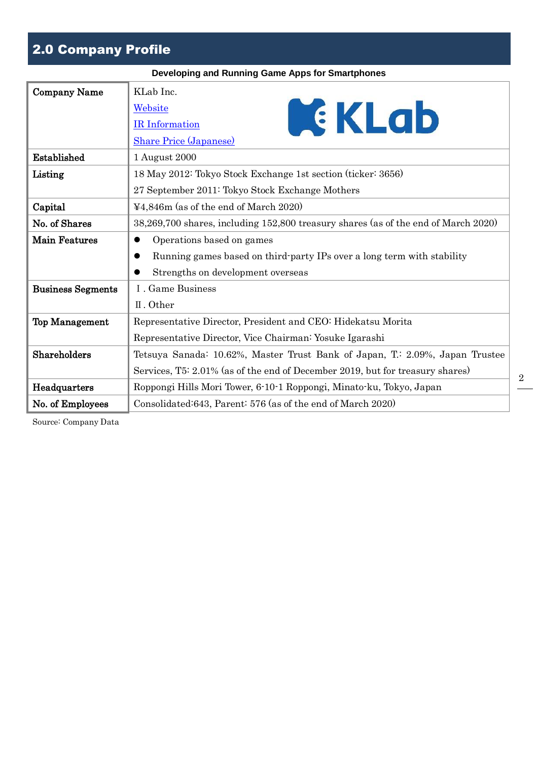## 2.0 Company Profile

|                          | Developing and Running Game Apps for Smartphones                                        |
|--------------------------|-----------------------------------------------------------------------------------------|
| <b>Company Name</b>      | KLab Inc.<br>EKLab<br>Website<br><b>IR</b> Information<br><b>Share Price (Japanese)</b> |
| Established              | 1 August 2000                                                                           |
| Listing                  | 18 May 2012: Tokyo Stock Exchange 1st section (ticker: 3656)                            |
|                          | 27 September 2011: Tokyo Stock Exchange Mothers                                         |
| Capital                  | ¥4,846m (as of the end of March 2020)                                                   |
| No. of Shares            | 38,269,700 shares, including 152,800 treasury shares (as of the end of March 2020)      |
| <b>Main Features</b>     | Operations based on games                                                               |
|                          | Running games based on third party IPs over a long term with stability                  |
|                          | Strengths on development overseas                                                       |
| <b>Business Segments</b> | I. Game Business                                                                        |
|                          | II. Other                                                                               |
| <b>Top Management</b>    | Representative Director, President and CEO: Hidekatsu Morita                            |
|                          | Representative Director, Vice Chairman: Yosuke Igarashi                                 |
| Shareholders             | Tetsuya Sanada: 10.62%, Master Trust Bank of Japan, T.: 2.09%, Japan Trustee            |
|                          | Services, T5: 2.01% (as of the end of December 2019, but for treasury shares)           |
| Headquarters             | Roppongi Hills Mori Tower, 6-10-1 Roppongi, Minato-ku, Tokyo, Japan                     |
| No. of Employees         | Consolidated:643, Parent: 576 (as of the end of March 2020)                             |

Source: Company Data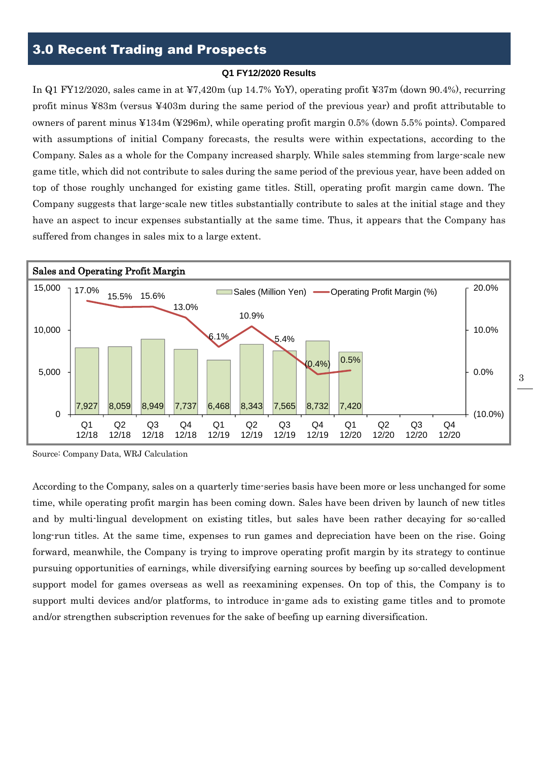#### **Q1 FY12/2020 Results**

In Q1 FY12/2020, sales came in at ¥7,420m (up 14.7% YoY), operating profit ¥37m (down 90.4%), recurring profit minus ¥83m (versus ¥403m during the same period of the previous year) and profit attributable to owners of parent minus ¥134m (¥296m), while operating profit margin 0.5% (down 5.5% points). Compared with assumptions of initial Company forecasts, the results were within expectations, according to the Company. Sales as a whole for the Company increased sharply. While sales stemming from large-scale new game title, which did not contribute to sales during the same period of the previous year, have been added on top of those roughly unchanged for existing game titles. Still, operating profit margin came down. The Company suggests that large-scale new titles substantially contribute to sales at the initial stage and they have an aspect to incur expenses substantially at the same time. Thus, it appears that the Company has suffered from changes in sales mix to a large extent.



Source: Company Data, WRJ Calculation

According to the Company, sales on a quarterly time-series basis have been more or less unchanged for some time, while operating profit margin has been coming down. Sales have been driven by launch of new titles and by multi-lingual development on existing titles, but sales have been rather decaying for so-called long-run titles. At the same time, expenses to run games and depreciation have been on the rise. Going forward, meanwhile, the Company is trying to improve operating profit margin by its strategy to continue pursuing opportunities of earnings, while diversifying earning sources by beefing up so-called development support model for games overseas as well as reexamining expenses. On top of this, the Company is to support multi devices and/or platforms, to introduce in-game ads to existing game titles and to promote and/or strengthen subscription revenues for the sake of beefing up earning diversification.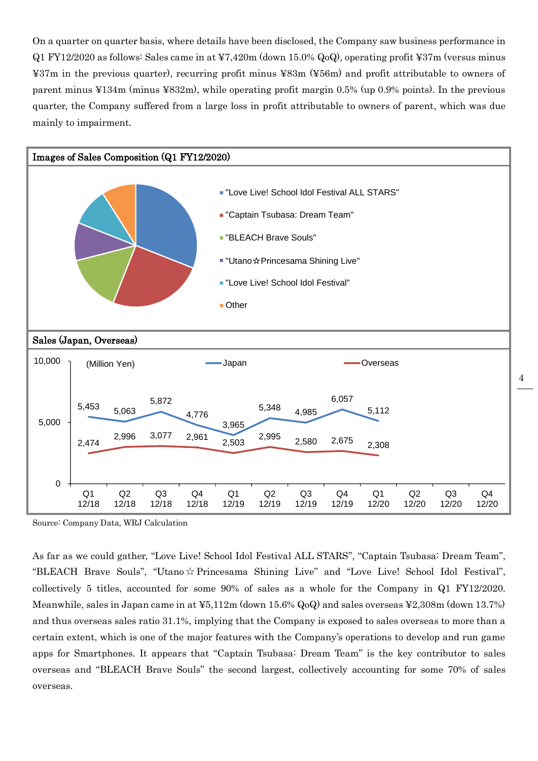On a quarter on quarter basis, where details have been disclosed, the Company saw business performance in Q1 FY12/2020 as follows: Sales came in at ¥7,420m (down 15.0% QoQ), operating profit ¥37m (versus minus ¥37m in the previous quarter), recurring profit minus ¥83m (¥56m) and profit attributable to owners of parent minus ¥134m (minus ¥832m), while operating profit margin 0.5% (up 0.9% points). In the previous quarter, the Company suffered from a large loss in profit attributable to owners of parent, which was due mainly to impairment.



Source: Company Data, WRJ Calculation

As far as we could gather, "Love Live! School Idol Festival ALL STARS", "Captain Tsubasa: Dream Team", "BLEACH Brave Souls", "Utano☆Princesama Shining Live" and "Love Live! School Idol Festival", collectively 5 titles, accounted for some 90% of sales as a whole for the Company in Q1 FY12/2020. Meanwhile, sales in Japan came in at ¥5,112m (down 15.6% QoQ) and sales overseas ¥2,308m (down 13.7%) and thus overseas sales ratio 31.1%, implying that the Company is exposed to sales overseas to more than a certain extent, which is one of the major features with the Company's operations to develop and run game apps for Smartphones. It appears that "Captain Tsubasa: Dream Team" is the key contributor to sales overseas and "BLEACH Brave Souls" the second largest, collectively accounting for some 70% of sales overseas.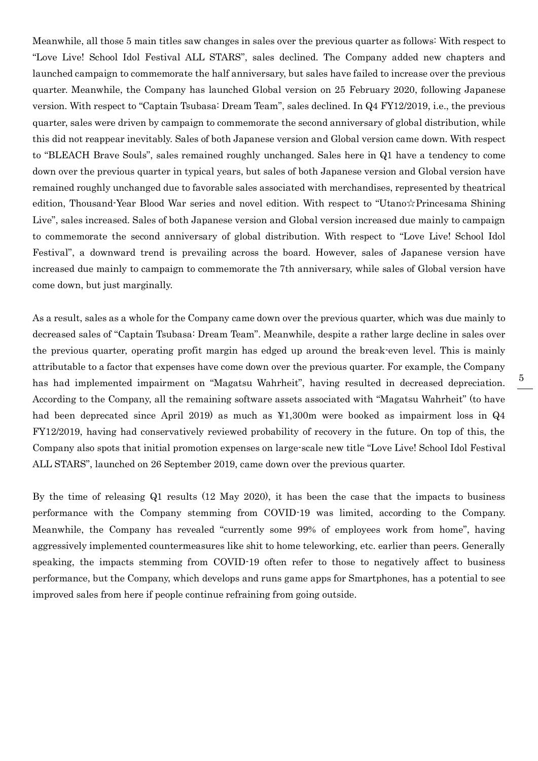Meanwhile, all those 5 main titles saw changes in sales over the previous quarter as follows: With respect to "Love Live! School Idol Festival ALL STARS", sales declined. The Company added new chapters and launched campaign to commemorate the half anniversary, but sales have failed to increase over the previous quarter. Meanwhile, the Company has launched Global version on 25 February 2020, following Japanese version. With respect to "Captain Tsubasa: Dream Team", sales declined. In Q4 FY12/2019, i.e., the previous quarter, sales were driven by campaign to commemorate the second anniversary of global distribution, while this did not reappear inevitably. Sales of both Japanese version and Global version came down. With respect to "BLEACH Brave Souls", sales remained roughly unchanged. Sales here in Q1 have a tendency to come down over the previous quarter in typical years, but sales of both Japanese version and Global version have remained roughly unchanged due to favorable sales associated with merchandises, represented by theatrical edition, Thousand-Year Blood War series and novel edition. With respect to "Utano☆Princesama Shining Live", sales increased. Sales of both Japanese version and Global version increased due mainly to campaign to commemorate the second anniversary of global distribution. With respect to "Love Live! School Idol Festival", a downward trend is prevailing across the board. However, sales of Japanese version have increased due mainly to campaign to commemorate the 7th anniversary, while sales of Global version have come down, but just marginally.

As a result, sales as a whole for the Company came down over the previous quarter, which was due mainly to decreased sales of "Captain Tsubasa: Dream Team". Meanwhile, despite a rather large decline in sales over the previous quarter, operating profit margin has edged up around the break-even level. This is mainly attributable to a factor that expenses have come down over the previous quarter. For example, the Company has had implemented impairment on "Magatsu Wahrheit", having resulted in decreased depreciation. According to the Company, all the remaining software assets associated with "Magatsu Wahrheit" (to have had been deprecated since April 2019) as much as ¥1,300m were booked as impairment loss in Q4 FY12/2019, having had conservatively reviewed probability of recovery in the future. On top of this, the Company also spots that initial promotion expenses on large-scale new title "Love Live! School Idol Festival ALL STARS", launched on 26 September 2019, came down over the previous quarter.

By the time of releasing Q1 results (12 May 2020), it has been the case that the impacts to business performance with the Company stemming from COVID-19 was limited, according to the Company. Meanwhile, the Company has revealed "currently some 99% of employees work from home", having aggressively implemented countermeasures like shit to home teleworking, etc. earlier than peers. Generally speaking, the impacts stemming from COVID-19 often refer to those to negatively affect to business performance, but the Company, which develops and runs game apps for Smartphones, has a potential to see improved sales from here if people continue refraining from going outside.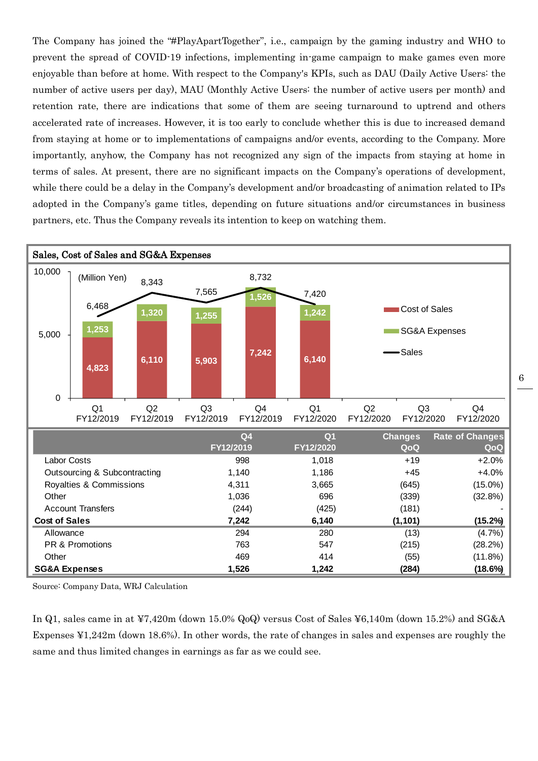The Company has joined the "#PlayApartTogether", i.e., campaign by the gaming industry and WHO to prevent the spread of COVID-19 infections, implementing in-game campaign to make games even more enjoyable than before at home. With respect to the Company's KPIs, such as DAU (Daily Active Users: the number of active users per day), MAU (Monthly Active Users: the number of active users per month) and retention rate, there are indications that some of them are seeing turnaround to uptrend and others accelerated rate of increases. However, it is too early to conclude whether this is due to increased demand from staying at home or to implementations of campaigns and/or events, according to the Company. More importantly, anyhow, the Company has not recognized any sign of the impacts from staying at home in terms of sales. At present, there are no significant impacts on the Company's operations of development, while there could be a delay in the Company's development and/or broadcasting of animation related to IPs adopted in the Company's game titles, depending on future situations and/or circumstances in business partners, etc. Thus the Company reveals its intention to keep on watching them.



Source: Company Data, WRJ Calculation

In Q1, sales came in at ¥7,420m (down 15.0% QoQ) versus Cost of Sales ¥6,140m (down 15.2%) and SG&A Expenses ¥1,242m (down 18.6%). In other words, the rate of changes in sales and expenses are roughly the same and thus limited changes in earnings as far as we could see.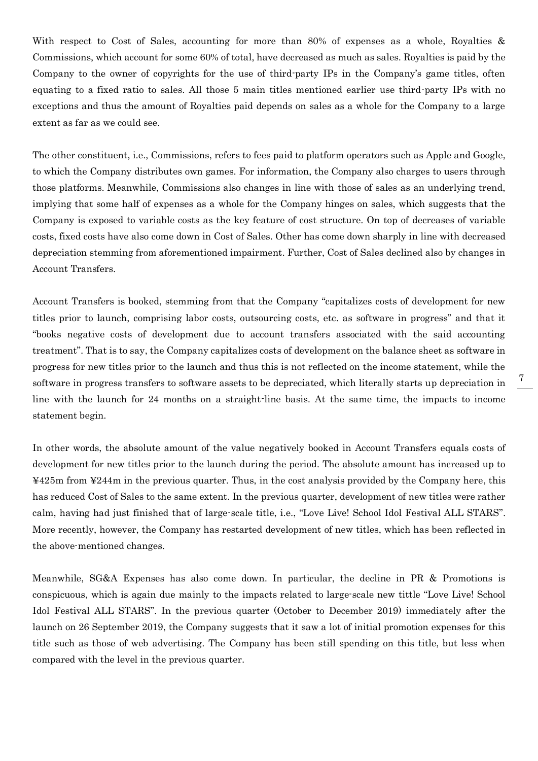With respect to Cost of Sales, accounting for more than 80% of expenses as a whole, Royalties & Commissions, which account for some 60% of total, have decreased as much as sales. Royalties is paid by the Company to the owner of copyrights for the use of third-party IPs in the Company's game titles, often equating to a fixed ratio to sales. All those 5 main titles mentioned earlier use third-party IPs with no exceptions and thus the amount of Royalties paid depends on sales as a whole for the Company to a large extent as far as we could see.

The other constituent, i.e., Commissions, refers to fees paid to platform operators such as Apple and Google, to which the Company distributes own games. For information, the Company also charges to users through those platforms. Meanwhile, Commissions also changes in line with those of sales as an underlying trend, implying that some half of expenses as a whole for the Company hinges on sales, which suggests that the Company is exposed to variable costs as the key feature of cost structure. On top of decreases of variable costs, fixed costs have also come down in Cost of Sales. Other has come down sharply in line with decreased depreciation stemming from aforementioned impairment. Further, Cost of Sales declined also by changes in Account Transfers.

Account Transfers is booked, stemming from that the Company "capitalizes costs of development for new titles prior to launch, comprising labor costs, outsourcing costs, etc. as software in progress" and that it "books negative costs of development due to account transfers associated with the said accounting treatment". That is to say, the Company capitalizes costs of development on the balance sheet as software in progress for new titles prior to the launch and thus this is not reflected on the income statement, while the software in progress transfers to software assets to be depreciated, which literally starts up depreciation in line with the launch for 24 months on a straight-line basis. At the same time, the impacts to income statement begin.

In other words, the absolute amount of the value negatively booked in Account Transfers equals costs of development for new titles prior to the launch during the period. The absolute amount has increased up to ¥425m from ¥244m in the previous quarter. Thus, in the cost analysis provided by the Company here, this has reduced Cost of Sales to the same extent. In the previous quarter, development of new titles were rather calm, having had just finished that of large-scale title, i.e., "Love Live! School Idol Festival ALL STARS". More recently, however, the Company has restarted development of new titles, which has been reflected in the above-mentioned changes.

Meanwhile, SG&A Expenses has also come down. In particular, the decline in PR & Promotions is conspicuous, which is again due mainly to the impacts related to large-scale new tittle "Love Live! School Idol Festival ALL STARS". In the previous quarter (October to December 2019) immediately after the launch on 26 September 2019, the Company suggests that it saw a lot of initial promotion expenses for this title such as those of web advertising. The Company has been still spending on this title, but less when compared with the level in the previous quarter.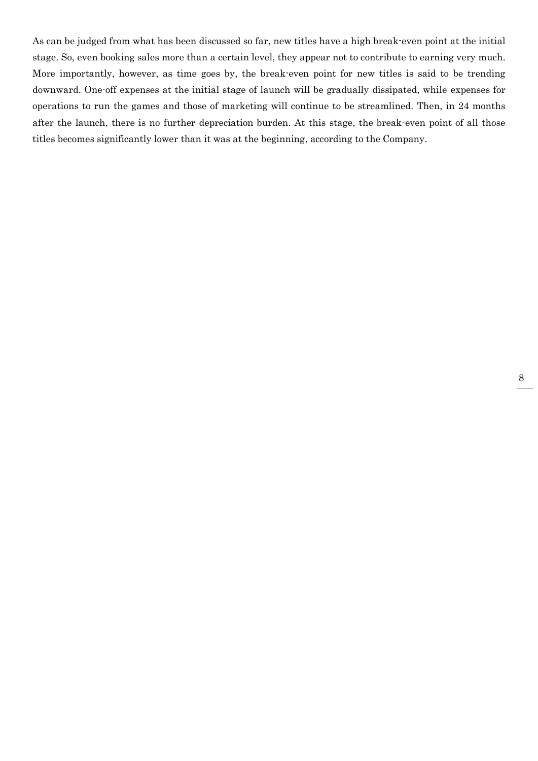As can be judged from what has been discussed so far, new titles have a high break-even point at the initial stage. So, even booking sales more than a certain level, they appear not to contribute to earning very much. More importantly, however, as time goes by, the break-even point for new titles is said to be trending downward. One-off expenses at the initial stage of launch will be gradually dissipated, while expenses for operations to run the games and those of marketing will continue to be streamlined. Then, in 24 months after the launch, there is no further depreciation burden. At this stage, the break-even point of all those titles becomes significantly lower than it was at the beginning, according to the Company.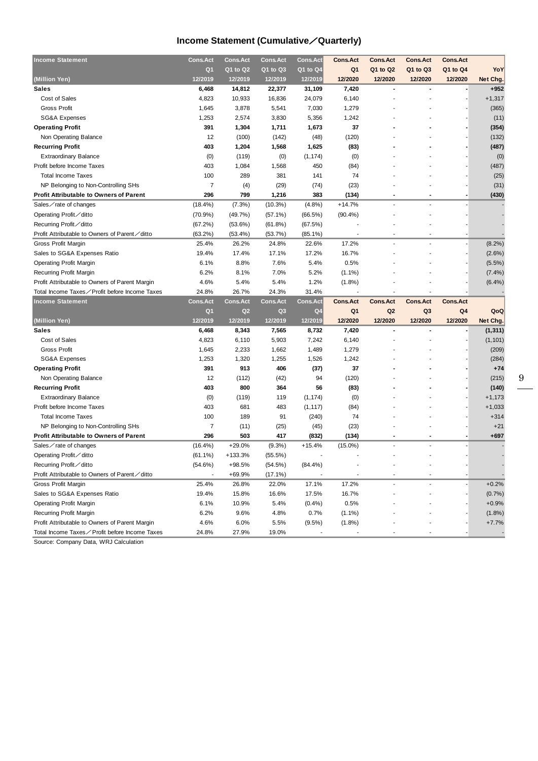## **Income Statement (Cumulative**/**Quarterly)**

| <b>Income Statement</b>                                                               | <b>Cons.Act</b> | <b>Cons.Act</b>  | <b>Cons.Act</b>       | <b>Cons.Act</b>   | <b>Cons.Act</b>   | <b>Cons.Act</b> | <b>Cons.Act</b> | <b>Cons.Act</b> |                   |
|---------------------------------------------------------------------------------------|-----------------|------------------|-----------------------|-------------------|-------------------|-----------------|-----------------|-----------------|-------------------|
|                                                                                       | Q <sub>1</sub>  | Q1 to Q2         | Q1 to Q3              | Q1 to Q4          | Q1                | Q1 to Q2        | Q1 to Q3        | Q1 to Q4        | YoY               |
| (Million Yen)                                                                         | 12/2019         | 12/2019          | 12/2019               | 12/2019           | 12/2020           | 12/2020         | 12/2020         | 12/2020         | Net Chg.          |
| <b>Sales</b>                                                                          | 6,468           | 14,812           | 22,377                | 31,109            | 7,420             |                 |                 |                 | $+952$            |
| Cost of Sales                                                                         | 4,823           | 10,933           | 16,836                | 24,079            | 6,140             |                 |                 |                 | $+1,317$          |
| <b>Gross Profit</b>                                                                   | 1,645           | 3,878            | 5,541                 | 7,030             | 1,279             |                 |                 |                 | (365)             |
| <b>SG&amp;A Expenses</b>                                                              | 1,253           | 2,574            | 3,830                 | 5,356             | 1,242             |                 |                 |                 | (11)              |
| <b>Operating Profit</b>                                                               | 391             | 1,304            | 1,711                 | 1,673             | 37                |                 |                 |                 | (354)             |
| Non Operating Balance                                                                 | 12              | (100)            | (142)                 | (48)              | (120)             |                 |                 |                 | (132)             |
| <b>Recurring Profit</b>                                                               | 403             | 1,204            | 1,568                 | 1,625             | (83)              |                 |                 |                 | (487)             |
| <b>Extraordinary Balance</b>                                                          | (0)             | (119)            | (0)                   | (1, 174)          | (0)               |                 |                 |                 | (0)               |
| Profit before Income Taxes                                                            | 403             | 1,084            | 1,568                 | 450               | (84)              |                 |                 |                 | (487)             |
| <b>Total Income Taxes</b>                                                             | 100             | 289              | 381                   | 141               | 74                |                 |                 |                 | (25)              |
| NP Belonging to Non-Controlling SHs                                                   | $\overline{7}$  | (4)              | (29)                  | (74)              | (23)              |                 |                 |                 | (31)              |
| <b>Profit Attributable to Owners of Parent</b>                                        | 296             | 799              | 1,216                 | 383               | (134)             |                 |                 |                 | (430)             |
| Sales $\angle$ rate of changes                                                        | $(18.4\%)$      | (7.3%)           | (10.3%)               | $(4.8\%)$         | $+14.7%$          |                 |                 |                 |                   |
| Operating Profit∕ditto                                                                | $(70.9\%)$      | (49.7%)          | $(57.1\%)$            | (66.5%)           | $(90.4\%)$        |                 |                 |                 |                   |
| Recurring Profit∕ditto                                                                | (67.2%)         | (53.6%)          | (61.8%)               | (67.5%)           |                   |                 |                 |                 |                   |
| Profit Attributable to Owners of Parent / ditto                                       | (63.2%)         | (53.4%)          | (53.7%)               | $(85.1\%)$        |                   |                 |                 |                 |                   |
| Gross Profit Margin                                                                   | 25.4%           | 26.2%            | 24.8%                 | 22.6%             | 17.2%             |                 |                 |                 | $(8.2\%)$         |
| Sales to SG&A Expenses Ratio                                                          | 19.4%           | 17.4%            | 17.1%                 | 17.2%             | 16.7%             |                 |                 |                 | (2.6%)            |
| <b>Operating Profit Margin</b>                                                        | 6.1%            | 8.8%             | 7.6%                  | 5.4%              | 0.5%              |                 |                 |                 | $(5.5\%)$         |
| <b>Recurring Profit Margin</b>                                                        | 6.2%            | 8.1%             | 7.0%                  | 5.2%              | $(1.1\%)$         |                 |                 |                 | $(7.4\%)$         |
| Profit Attributable to Owners of Parent Margin                                        | 4.6%            | 5.4%             | 5.4%                  | 1.2%              | (1.8%)            |                 |                 |                 | (6.4%)            |
| Total Income Taxes∕Profit before Income Taxes                                         | 24.8%           | 26.7%            | 24.3%                 | 31.4%             |                   |                 |                 |                 |                   |
|                                                                                       |                 |                  |                       |                   |                   |                 |                 |                 |                   |
| <b>Income Statement</b>                                                               | <b>Cons.Act</b> | <b>Cons.Act</b>  | <b>Cons.Act</b>       | <b>Cons.Act</b>   | <b>Cons.Act</b>   | <b>Cons.Act</b> | <b>Cons.Act</b> | <b>Cons.Act</b> |                   |
|                                                                                       | Q <sub>1</sub>  | Q <sub>2</sub>   | Q <sub>3</sub>        | Q4                | Q <sub>1</sub>    | Q <sub>2</sub>  | Q3              | Q4              | QoQ               |
| (Million Yen)                                                                         | 12/2019         | 12/2019          | 12/2019               | 12/2019           | 12/2020           | 12/2020         | 12/2020         | 12/2020         | Net Chg.          |
| <b>Sales</b>                                                                          | 6,468           | 8,343            | 7,565                 | 8,732             | 7,420             |                 |                 |                 | (1, 311)          |
| Cost of Sales                                                                         | 4,823           | 6,110            | 5,903                 | 7,242             | 6,140             |                 |                 |                 | (1, 101)          |
| <b>Gross Profit</b>                                                                   | 1,645           | 2,233            | 1,662                 | 1,489             | 1,279             |                 |                 |                 |                   |
| SG&A Expenses                                                                         | 1,253           | 1,320            | 1,255                 | 1,526             | 1,242             |                 |                 |                 | (209)<br>(284)    |
| <b>Operating Profit</b>                                                               | 391             | 913              | 406                   |                   | 37                |                 |                 |                 | $+74$             |
| Non Operating Balance                                                                 | 12              | (112)            | (42)                  | (37)<br>94        | (120)             |                 |                 |                 | (215)             |
| <b>Recurring Profit</b>                                                               | 403             | 800              | 364                   | 56                | (83)              |                 |                 |                 | (140)             |
| <b>Extraordinary Balance</b>                                                          | (0)             | (119)            | 119                   | (1, 174)          | (0)               |                 |                 |                 | $+1,173$          |
| Profit before Income Taxes                                                            | 403             | 681              | 483                   |                   | (84)              |                 |                 |                 | $+1,033$          |
| <b>Total Income Taxes</b>                                                             | 100             | 189              | 91                    | (1, 117)<br>(240) | 74                |                 |                 |                 | $+314$            |
|                                                                                       | 7               |                  |                       |                   |                   |                 |                 |                 | $+21$             |
| NP Belonging to Non-Controlling SHs<br><b>Profit Attributable to Owners of Parent</b> | 296             | (11)<br>503      | (25)<br>417           | (45)<br>(832)     | (23)<br>(134)     |                 |                 |                 | +697              |
| Sales∕rate of changes                                                                 | $(16.4\%)$      | $+29.0%$         | (9.3%)                | $+15.4%$          | $(15.0\%)$        |                 |                 |                 |                   |
| Operating Profit∕ditto                                                                | $(61.1\%)$      | $+133.3%$        | $(55.5\%)$            |                   |                   |                 |                 |                 |                   |
| Recurring Profit / ditto                                                              |                 |                  |                       |                   |                   |                 |                 |                 |                   |
| Profit Attributable to Owners of Parent∕ditto                                         | (54.6%)         | +98.5%<br>+69.9% | (54.5%)<br>$(17.1\%)$ | $(84.4\%)$        |                   |                 |                 |                 |                   |
| Gross Profit Margin                                                                   | 25.4%           | 26.8%            | 22.0%                 | 17.1%             | 17.2%             |                 |                 |                 | $+0.2%$           |
| Sales to SG&A Expenses Ratio                                                          | 19.4%           | 15.8%            | 16.6%                 | 17.5%             | 16.7%             |                 |                 |                 | (0.7%             |
| <b>Operating Profit Margin</b>                                                        |                 |                  |                       |                   |                   |                 |                 |                 |                   |
|                                                                                       | 6.1%<br>6.2%    | 10.9%<br>9.6%    | 5.4%<br>4.8%          | $(0.4\%)$<br>0.7% | 0.5%<br>$(1.1\%)$ |                 |                 |                 | $+0.9%$           |
| Recurring Profit Margin<br>Profit Attributable to Owners of Parent Margin             | 4.6%            | 6.0%             | 5.5%                  | (9.5%)            | $(1.8\%)$         |                 |                 |                 | (1.8%)<br>$+7.7%$ |

Source: Company Data, WRJ Calculation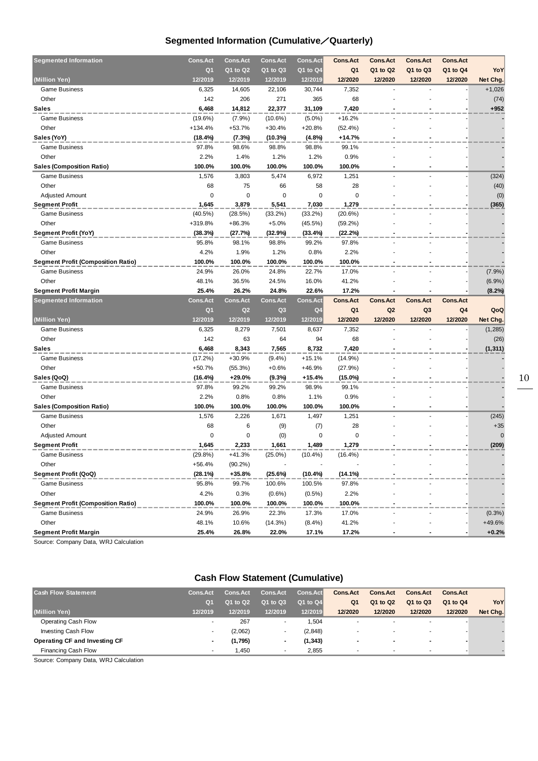## **Segmented Information (Cumulative**/**Quarterly)**

| <b>Segmented Information</b>              | <b>Cons.Act</b> | <b>Cons.Act</b> | <b>Cons.Act</b>  | <b>Cons.Act</b>    | <b>Cons.Act</b> | <b>Cons.Act</b> | <b>Cons.Act</b> | <b>Cons.Act</b> |                   |
|-------------------------------------------|-----------------|-----------------|------------------|--------------------|-----------------|-----------------|-----------------|-----------------|-------------------|
|                                           | Q <sub>1</sub>  | Q1 to Q2        | Q1 to Q3         | $Q1$ to $Q4$       | Q <sub>1</sub>  | Q1 to Q2        | Q1 to Q3        | Q1 to Q4        | <b>YoY</b>        |
| (Million Yen)                             | 12/2019         | 12/2019         | 12/2019          | 12/2019            | 12/2020         | 12/2020         | 12/2020         | 12/2020         | Net Chg.          |
| <b>Game Business</b>                      | 6,325           | 14,605          | 22,106           | 30,744             | 7,352           |                 |                 |                 | $+1,026$          |
| Other                                     | 142             | 206             | 271              | 365                | 68              |                 |                 |                 | (74)              |
| <b>Sales</b>                              | 6,468           | 14,812          | 22,377           | 31,109             | 7,420           |                 |                 |                 | +952              |
| <b>Game Business</b>                      | $(19.6\%)$      | $(7.9\%)$       | $(10.6\%)$       | $(5.0\%)$          | $+16.2%$        |                 |                 |                 |                   |
| Other                                     | $+134.4%$       | $+53.7%$        | $+30.4%$         | +20.8%             | (52.4%)         |                 |                 |                 |                   |
| Sales (YoY)                               | (18.4%)         | (7.3%)          | (10.3%)          | (4.8%)             | $+14.7%$        |                 |                 |                 |                   |
| <b>Game Business</b>                      | 97.8%           | 98.6%           | 98.8%            | 98.8%              | 99.1%           |                 |                 |                 |                   |
| Other                                     | 2.2%            | 1.4%            | 1.2%             | 1.2%               | 0.9%            |                 |                 |                 |                   |
| Sales (Composition Ratio)                 | 100.0%          | 100.0%          | 100.0%           | 100.0%             | 100.0%          |                 |                 |                 |                   |
| <b>Game Business</b>                      | 1,576           | 3,803           | 5,474            | 6,972              | 1,251           |                 |                 |                 | (324)             |
| Other                                     | 68              | 75              | 66               | 58                 | 28              |                 |                 |                 | (40)              |
| <b>Adjusted Amount</b>                    | 0               | $\mathbf 0$     | 0                | 0                  | 0               |                 |                 |                 | (0)               |
| <b>Segment Profit</b>                     | 1,645           | 3,879           | 5,541            | 7,030              | 1,279           |                 |                 |                 | (365)             |
| <b>Game Business</b>                      | $(40.5\%)$      | (28.5%)         | $(33.2\%)$       | (33.2%)            | (20.6%)         |                 |                 |                 |                   |
| Other                                     | +319.8%         | $+86.3%$        | $+5.0%$          | $(45.5\%)$         | $(59.2\%)$      |                 |                 |                 |                   |
| Segment Profit (YoY)                      | (38.3%)         | (27.7%)         | (32.9%)          | (33.4%)            | (22.2%)         |                 |                 |                 |                   |
| <b>Game Business</b>                      | 95.8%           | 98.1%           | 98.8%            | 99.2%              | 97.8%           |                 |                 |                 |                   |
| Other                                     | 4.2%            | 1.9%            | 1.2%             | 0.8%               | 2.2%            |                 |                 |                 |                   |
| <b>Segment Profit (Composition Ratio)</b> | 100.0%          | 100.0%          | 100.0%           | 100.0%             | 100.0%          |                 |                 |                 |                   |
| <b>Game Business</b>                      | 24.9%           | 26.0%           | 24.8%            | 22.7%              | 17.0%           |                 |                 |                 | $(7.9\%)$         |
| Other                                     | 48.1%           | 36.5%           | 24.5%            | 16.0%              | 41.2%           |                 |                 |                 | $(6.9\%)$         |
| Segment Profit Margin                     | 25.4%           | 26.2%           | 24.8%            | 22.6%              | 17.2%           |                 |                 |                 | $(8.2\%)$         |
|                                           |                 |                 |                  |                    |                 |                 |                 |                 |                   |
| <b>Segmented Information</b>              | <b>Cons.Act</b> | <b>Cons.Act</b> | <b>Cons.Act</b>  | <b>Cons.Act</b>    | <b>Cons.Act</b> | <b>Cons.Act</b> | <b>Cons.Act</b> | <b>Cons.Act</b> |                   |
|                                           | Q <sub>1</sub>  | Q <sub>2</sub>  | Q3               | Q <sub>4</sub>     | Q <sub>1</sub>  | Q <sub>2</sub>  | Q3              | Q <sub>4</sub>  | QoQ               |
| (Million Yen)                             | 12/2019         | 12/2019         | 12/2019          | 12/2019            | 12/2020         | 12/2020         | 12/2020         | 12/2020         | Net Chg.          |
| <b>Game Business</b>                      | 6,325           | 8,279           | 7,501            | 8,637              | 7,352           |                 |                 |                 | (1, 285)          |
| Other                                     | 142             | 63              | 64               | 94                 | 68              |                 |                 |                 | (26)              |
| <b>Sales</b>                              | 6,468           | 8,343           | 7,565            | 8,732              | 7,420           |                 |                 |                 | (1, 311)          |
| <b>Game Business</b>                      | $(17.2\%)$      | $+30.9%$        | $(9.4\%)$        | $+15.1%$           | $(14.9\%)$      |                 |                 |                 |                   |
| Other                                     | $+50.7%$        | (55.3%)         | $+0.6%$          | +46.9%             | (27.9%)         |                 |                 |                 |                   |
| Sales (QoQ)                               | (16.4%)         | +29.0%          | (9.3%)           | $+15.4%$           | $(15.0\%)$      |                 |                 |                 |                   |
| <b>Game Business</b>                      | 97.8%           | 99.2%           | 99.2%            | 98.9%              | 99.1%           |                 |                 |                 |                   |
| Other                                     | 2.2%            | 0.8%            | 0.8%             | 1.1%               | 0.9%            |                 |                 |                 |                   |
| Sales (Composition Ratio)                 | 100.0%          | 100.0%          | 100.0%           | 100.0%             | 100.0%          |                 |                 |                 |                   |
| <b>Game Business</b>                      | 1,576           | 2,226           | 1,671            | 1,497              | 1,251           |                 |                 |                 | (245)             |
| Other                                     | 68              | 6               | (9)              | (7)                | 28              |                 |                 |                 | $+35$             |
| <b>Adjusted Amount</b>                    | 0               | 0               | (0)              | 0                  | 0               |                 |                 |                 | $\mathbf 0$       |
| <b>Segment Profit</b>                     | 1,645           | 2,233           | 1,661            | 1,489              | 1,279           |                 |                 |                 | (209)             |
| <b>Game Business</b>                      | (29.8%)         | $+41.3%$        | $(25.0\%)$       | $(10.4\%)$         | $(16.4\%)$      |                 |                 |                 |                   |
| Other                                     | +56.4%          | $(90.2\%)$      | $\overline{a}$   |                    |                 |                 |                 |                 |                   |
| Segment Profit (QoQ)                      | (28.1%)         | +35.8%          | (25.6%)          | (10.4%)            | (14.1%)         |                 |                 |                 |                   |
| <b>Game Business</b>                      | 95.8%           | 99.7%           | 100.6%           | 100.5%             | 97.8%           |                 |                 |                 |                   |
| Other                                     | 4.2%            | 0.3%            | $(0.6\%)$        | $(0.5\%)$          | 2.2%            |                 |                 |                 |                   |
| <b>Segment Profit (Composition Ratio)</b> | 100.0%          | 100.0%          | 100.0%           | 100.0%             | 100.0%          |                 |                 |                 |                   |
| <b>Game Business</b>                      | 24.9%           | 26.9%           | 22.3%            | 17.3%              | 17.0%           |                 |                 |                 | $(0.3\%)$         |
| Other                                     | 48.1%<br>25.4%  | 10.6%<br>26.8%  | (14.3%)<br>22.0% | $(8.4\%)$<br>17.1% | 41.2%<br>17.2%  |                 |                 |                 | +49.6%<br>$+0.2%$ |

Source: Company Data, WRJ Calculation

## **Cash Flow Statement (Cumulative)**

| <b>Cash Flow Statement</b>    | <b>Cons.Act</b> | <b>Cons.Act</b> | <b>Cons.Act</b>          | <b>Cons.Act</b> | <b>Cons.Act</b>          | <b>Cons.Act</b>          | <b>Cons.Act</b>          | <b>Cons.Act</b> |          |
|-------------------------------|-----------------|-----------------|--------------------------|-----------------|--------------------------|--------------------------|--------------------------|-----------------|----------|
|                               | Q <sub>1</sub>  | Q1 to Q2        | Q1 to Q3                 | Q1 to Q4        | Q <sub>1</sub>           | Q1 to Q2                 | Q1 to Q3                 | Q1 to Q4        | YoY      |
| (Million Yen)                 | 12/2019         | 12/2019         | 12/2019                  | 12/2019         | 12/2020                  | 12/2020                  | 12/2020                  | 12/2020         | Net Chg. |
| Operating Cash Flow           | ٠               | 267             | ٠                        | 1.504           | $\overline{\phantom{a}}$ | $\overline{\phantom{a}}$ | $\overline{\phantom{a}}$ |                 |          |
| <b>Investing Cash Flow</b>    |                 | (2,062)         |                          | (2,848)         |                          | $\overline{\phantom{a}}$ |                          |                 |          |
| Operating CF and Investing CF |                 | (1,795)         | $\overline{\phantom{a}}$ | (1,343)         | . .                      | $\sim$                   |                          |                 |          |
| Financing Cash Flow           |                 | 1.450           | ٠                        | 2.855           |                          | ٠                        | ٠                        |                 |          |

Source: Company Data, WRJ Calculation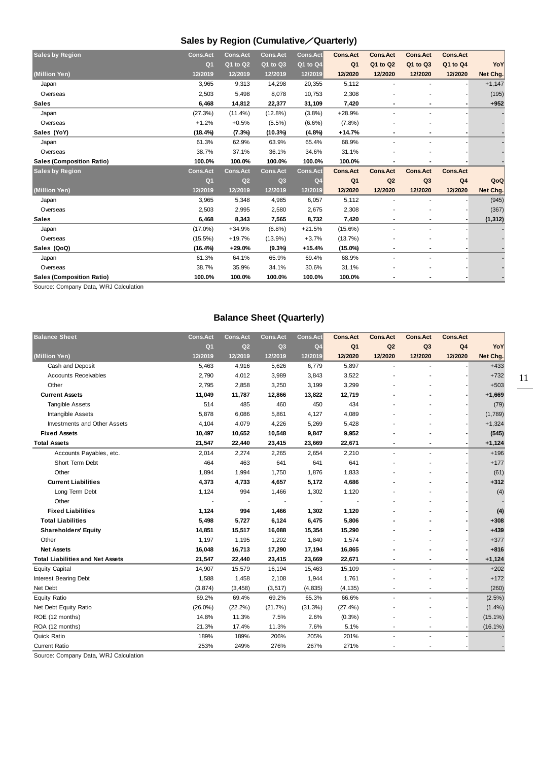## **Sales by Region (Cumulative**/**Quarterly)**

| <b>Sales by Region</b>           | <b>Cons.Act</b> | <b>Cons.Act</b> | <b>Cons.Act</b> | <b>Cons.Act</b> | <b>Cons.Act</b> | <b>Cons.Act</b> | <b>Cons.Act</b> | <b>Cons.Act</b> |          |
|----------------------------------|-----------------|-----------------|-----------------|-----------------|-----------------|-----------------|-----------------|-----------------|----------|
|                                  | Q <sub>1</sub>  | Q1 to Q2        | Q1 to Q3        | Q1 to Q4        | Q <sub>1</sub>  | Q1 to Q2        | Q1 to Q3        | Q1 to Q4        | YoY      |
| (Million Yen)                    | 12/2019         | 12/2019         | 12/2019         | 12/2019         | 12/2020         | 12/2020         | 12/2020         | 12/2020         | Net Chg. |
| Japan                            | 3,965           | 9,313           | 14,298          | 20,355          | 5,112           |                 |                 |                 | $+1,147$ |
| Overseas                         | 2,503           | 5,498           | 8,078           | 10,753          | 2,308           |                 |                 |                 | (195)    |
| <b>Sales</b>                     | 6,468           | 14,812          | 22,377          | 31,109          | 7,420           | ٠               | $\blacksquare$  |                 | $+952$   |
| Japan                            | (27.3%)         | $(11.4\%)$      | (12.8%)         | (3.8%)          | $+28.9%$        | ٠               | ٠               |                 |          |
| Overseas                         | $+1.2%$         | $+0.5%$         | $(5.5\%)$       | $(6.6\%)$       | (7.8%)          |                 |                 |                 |          |
| Sales (YoY)                      | (18.4%)         | (7.3%)          | (10.3%)         | (4.8%)          | $+14.7%$        | ٠               | $\blacksquare$  |                 |          |
| Japan                            | 61.3%           | 62.9%           | 63.9%           | 65.4%           | 68.9%           |                 |                 |                 |          |
| Overseas                         | 38.7%           | 37.1%           | 36.1%           | 34.6%           | 31.1%           |                 |                 |                 |          |
| <b>Sales (Composition Ratio)</b> | 100.0%          | 100.0%          | 100.0%          | 100.0%          | 100.0%          |                 |                 |                 |          |
| <b>Sales by Region</b>           | <b>Cons.Act</b> | <b>Cons.Act</b> | <b>Cons.Act</b> | <b>Cons.Act</b> | <b>Cons.Act</b> | <b>Cons.Act</b> | <b>Cons.Act</b> | <b>Cons.Act</b> |          |
|                                  | Q <sub>1</sub>  | Q2              | Q <sub>3</sub>  | Q <sub>4</sub>  | Q <sub>1</sub>  | Q2              | Q <sub>3</sub>  | Q <sub>4</sub>  | QoQ      |
| (Million Yen)                    | 12/2019         | 12/2019         | 12/2019         | 12/2019         | 12/2020         | 12/2020         | 12/2020         | 12/2020         | Net Chg. |
| Japan                            | 3,965           | 5,348           | 4,985           | 6,057           | 5,112           |                 |                 |                 | (945)    |
| Overseas                         | 2,503           | 2,995           | 2,580           | 2,675           | 2,308           |                 |                 |                 | (367)    |
| <b>Sales</b>                     | 6,468           | 8,343           | 7,565           | 8,732           | 7,420           |                 |                 |                 | (1, 312) |
| Japan                            | $(17.0\%)$      | $+34.9%$        | (6.8%)          | $+21.5%$        | $(15.6\%)$      |                 |                 |                 |          |
| Overseas                         | $(15.5\%)$      | $+19.7%$        | $(13.9\%)$      | $+3.7%$         | (13.7%)         |                 |                 |                 |          |
| Sales (QoQ)                      | $(16.4\%)$      | $+29.0%$        | (9.3%)          | $+15.4%$        | $(15.0\%)$      | $\blacksquare$  | $\blacksquare$  |                 |          |
| Japan                            | 61.3%           | 64.1%           | 65.9%           | 69.4%           | 68.9%           | $\blacksquare$  |                 |                 |          |
| Overseas                         | 38.7%           | 35.9%           | 34.1%           | 30.6%           | 31.1%           |                 |                 |                 |          |
| <b>Sales (Composition Ratio)</b> | 100.0%          | 100.0%          | 100.0%          | 100.0%          | 100.0%          |                 |                 |                 |          |

Source: Company Data, WRJ Calculation

## **Balance Sheet (Quarterly)**

| <b>Balance Sheet</b>                    | <b>Cons.Act</b> | <b>Cons.Act</b> | <b>Cons.Act</b> | <b>Cons.Act</b> | <b>Cons.Act</b> | <b>Cons.Act</b> | <b>Cons.Act</b>          | <b>Cons.Act</b> |            |
|-----------------------------------------|-----------------|-----------------|-----------------|-----------------|-----------------|-----------------|--------------------------|-----------------|------------|
|                                         | Q <sub>1</sub>  | Q2              | Q <sub>3</sub>  | Q <sub>4</sub>  | Q <sub>1</sub>  | Q2              | Q <sub>3</sub>           | Q <sub>4</sub>  | YoY        |
| (Million Yen)                           | 12/2019         | 12/2019         | 12/2019         | 12/2019         | 12/2020         | 12/2020         | 12/2020                  | 12/2020         | Net Chg.   |
| Cash and Deposit                        | 5,463           | 4,916           | 5,626           | 6,779           | 5,897           | ä,              |                          |                 | $+433$     |
| <b>Accounts Receivables</b>             | 2,790           | 4,012           | 3,989           | 3,843           | 3,522           |                 |                          |                 | $+732$     |
| Other                                   | 2,795           | 2,858           | 3,250           | 3,199           | 3,299           |                 |                          |                 | $+503$     |
| <b>Current Assets</b>                   | 11,049          | 11,787          | 12,866          | 13,822          | 12,719          |                 |                          |                 | $+1,669$   |
| <b>Tangible Assets</b>                  | 514             | 485             | 460             | 450             | 434             |                 |                          |                 | (79)       |
| Intangible Assets                       | 5,878           | 6,086           | 5,861           | 4,127           | 4,089           |                 |                          |                 | (1,789)    |
| Investments and Other Assets            | 4,104           | 4,079           | 4,226           | 5,269           | 5,428           |                 |                          |                 | $+1,324$   |
| <b>Fixed Assets</b>                     | 10,497          | 10,652          | 10,548          | 9,847           | 9,952           |                 |                          |                 | (545)      |
| <b>Total Assets</b>                     | 21,547          | 22,440          | 23,415          | 23,669          | 22,671          | ٠               |                          |                 | $+1,124$   |
| Accounts Payables, etc.                 | 2,014           | 2,274           | 2,265           | 2,654           | 2,210           | $\overline{a}$  | $\overline{\phantom{a}}$ |                 | $+196$     |
| Short Term Debt                         | 464             | 463             | 641             | 641             | 641             |                 |                          |                 | $+177$     |
| Other                                   | 1,894           | 1,994           | 1,750           | 1,876           | 1,833           |                 |                          |                 | (61)       |
| <b>Current Liabilities</b>              | 4,373           | 4,733           | 4,657           | 5,172           | 4,686           |                 |                          |                 | $+312$     |
| Long Term Debt                          | 1,124           | 994             | 1,466           | 1,302           | 1,120           |                 |                          |                 | (4)        |
| Other                                   |                 |                 | ÷.              | ÷               |                 |                 |                          |                 |            |
| <b>Fixed Liabilities</b>                | 1,124           | 994             | 1,466           | 1,302           | 1,120           |                 |                          |                 | (4)        |
| <b>Total Liabilities</b>                | 5,498           | 5,727           | 6,124           | 6,475           | 5,806           |                 |                          |                 | $+308$     |
| <b>Shareholders' Equity</b>             | 14,851          | 15,517          | 16,088          | 15,354          | 15,290          |                 |                          |                 | $+439$     |
| Other                                   | 1,197           | 1,195           | 1,202           | 1,840           | 1,574           |                 |                          |                 | $+377$     |
| <b>Net Assets</b>                       | 16,048          | 16,713          | 17,290          | 17,194          | 16,865          |                 |                          |                 | $+816$     |
| <b>Total Liabilities and Net Assets</b> | 21,547          | 22,440          | 23,415          | 23,669          | 22,671          |                 |                          |                 | $+1,124$   |
| <b>Equity Capital</b>                   | 14,907          | 15,579          | 16,194          | 15,463          | 15,109          | ä,              |                          |                 | $+202$     |
| <b>Interest Bearing Debt</b>            | 1,588           | 1,458           | 2,108           | 1,944           | 1,761           |                 |                          |                 | $+172$     |
| Net Debt                                | (3,874)         | (3, 458)        | (3, 517)        | (4, 835)        | (4, 135)        |                 |                          |                 | (260)      |
| <b>Equity Ratio</b>                     | 69.2%           | 69.4%           | 69.2%           | 65.3%           | 66.6%           | $\overline{a}$  | $\overline{\phantom{a}}$ |                 | $(2.5\%)$  |
| Net Debt Equity Ratio                   | $(26.0\%)$      | $(22.2\%)$      | (21.7%)         | (31.3%)         | (27.4%)         |                 |                          |                 | $(1.4\%)$  |
| ROE (12 months)                         | 14.8%           | 11.3%           | 7.5%            | 2.6%            | (0.3%)          |                 |                          |                 | $(15.1\%)$ |
| ROA (12 months)                         | 21.3%           | 17.4%           | 11.3%           | 7.6%            | 5.1%            |                 |                          |                 | $(16.1\%)$ |
| Quick Ratio                             | 189%            | 189%            | 206%            | 205%            | 201%            |                 |                          |                 |            |
| <b>Current Ratio</b>                    | 253%            | 249%            | 276%            | 267%            | 271%            | ٠               |                          |                 |            |

Source: Company Data, WRJ Calculation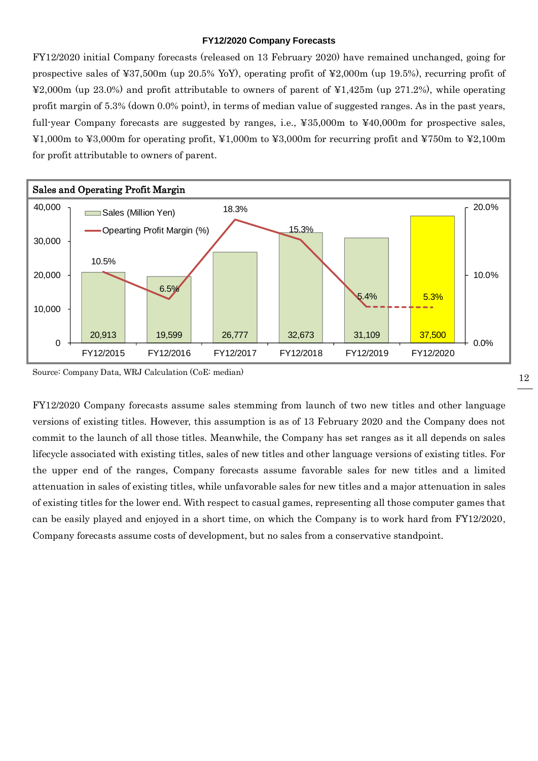#### **FY12/2020 Company Forecasts**

FY12/2020 initial Company forecasts (released on 13 February 2020) have remained unchanged, going for prospective sales of ¥37,500m (up 20.5% YoY), operating profit of ¥2,000m (up 19.5%), recurring profit of ¥2,000m (up 23.0%) and profit attributable to owners of parent of ¥1,425m (up 271.2%), while operating profit margin of 5.3% (down 0.0% point), in terms of median value of suggested ranges. As in the past years, full-year Company forecasts are suggested by ranges, i.e., ¥35,000m to ¥40,000m for prospective sales, ¥1,000m to ¥3,000m for operating profit, ¥1,000m to ¥3,000m for recurring profit and ¥750m to ¥2,100m for profit attributable to owners of parent.



Source: Company Data, WRJ Calculation (CoE: median)

FY12/2020 Company forecasts assume sales stemming from launch of two new titles and other language versions of existing titles. However, this assumption is as of 13 February 2020 and the Company does not commit to the launch of all those titles. Meanwhile, the Company has set ranges as it all depends on sales lifecycle associated with existing titles, sales of new titles and other language versions of existing titles. For the upper end of the ranges, Company forecasts assume favorable sales for new titles and a limited attenuation in sales of existing titles, while unfavorable sales for new titles and a major attenuation in sales of existing titles for the lower end. With respect to casual games, representing all those computer games that can be easily played and enjoyed in a short time, on which the Company is to work hard from FY12/2020, Company forecasts assume costs of development, but no sales from a conservative standpoint.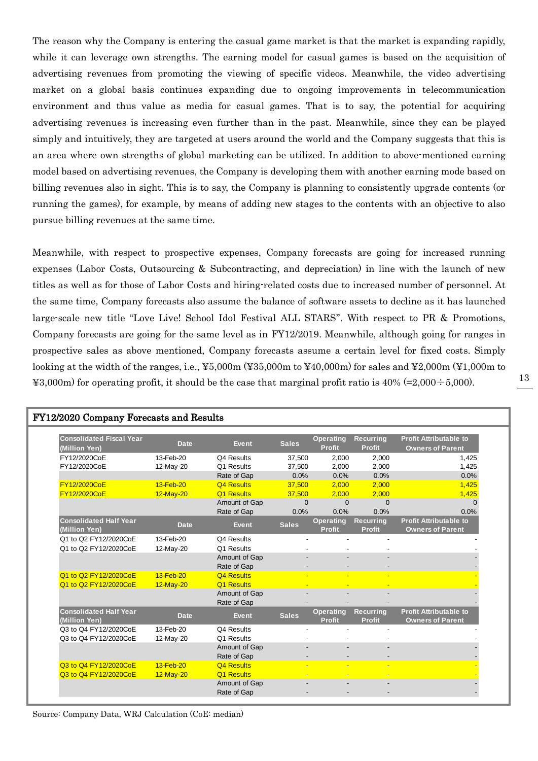The reason why the Company is entering the casual game market is that the market is expanding rapidly, while it can leverage own strengths. The earning model for casual games is based on the acquisition of advertising revenues from promoting the viewing of specific videos. Meanwhile, the video advertising market on a global basis continues expanding due to ongoing improvements in telecommunication environment and thus value as media for casual games. That is to say, the potential for acquiring advertising revenues is increasing even further than in the past. Meanwhile, since they can be played simply and intuitively, they are targeted at users around the world and the Company suggests that this is an area where own strengths of global marketing can be utilized. In addition to above-mentioned earning model based on advertising revenues, the Company is developing them with another earning mode based on billing revenues also in sight. This is to say, the Company is planning to consistently upgrade contents (or running the games), for example, by means of adding new stages to the contents with an objective to also pursue billing revenues at the same time.

Meanwhile, with respect to prospective expenses, Company forecasts are going for increased running expenses (Labor Costs, Outsourcing & Subcontracting, and depreciation) in line with the launch of new titles as well as for those of Labor Costs and hiring-related costs due to increased number of personnel. At the same time, Company forecasts also assume the balance of software assets to decline as it has launched large-scale new title "Love Live! School Idol Festival ALL STARS". With respect to PR & Promotions, Company forecasts are going for the same level as in FY12/2019. Meanwhile, although going for ranges in prospective sales as above mentioned, Company forecasts assume a certain level for fixed costs. Simply looking at the width of the ranges, i.e., ¥5,000m (¥35,000m to ¥40,000m) for sales and ¥2,000m (¥1,000m to  $\text{\textless}=3,000\text{m}$  for operating profit, it should be the case that marginal profit ratio is  $40\%$  (=2,000 ÷ 5,000).

| FY12/2020 Company Forecasts and Results          |                        |                              |                  |                                   |                                   |                                                          |  |  |  |  |  |
|--------------------------------------------------|------------------------|------------------------------|------------------|-----------------------------------|-----------------------------------|----------------------------------------------------------|--|--|--|--|--|
| <b>Consolidated Fiscal Year</b><br>(Million Yen) | <b>Date</b>            | <b>Event</b>                 | <b>Sales</b>     | <b>Operating</b><br><b>Profit</b> | <b>Recurring</b><br><b>Profit</b> | <b>Profit Attributable to</b><br><b>Owners of Parent</b> |  |  |  |  |  |
| FY12/2020CoE                                     | 13-Feb-20              | Q4 Results                   | 37,500           | 2,000                             | 2,000                             | 1,425                                                    |  |  |  |  |  |
| FY12/2020CoE                                     | 12-May-20              | Q1 Results                   | 37,500           | 2,000                             | 2,000                             | 1,425                                                    |  |  |  |  |  |
|                                                  |                        | Rate of Gap                  | 0.0%             | 0.0%                              | 0.0%                              | 0.0%                                                     |  |  |  |  |  |
| FY12/2020CoE                                     | $13-Feb-20$            | <b>Q4 Results</b>            | 37,500           | 2,000                             | 2,000                             | 1,425                                                    |  |  |  |  |  |
| FY12/2020CoE                                     | 12-May-20              | Q1 Results                   | 37,500           | 2,000                             | 2,000                             | 1,425                                                    |  |  |  |  |  |
|                                                  |                        | Amount of Gap<br>Rate of Gap | $\Omega$<br>0.0% | $\Omega$<br>0.0%                  | $\Omega$<br>0.0%                  | $\Omega$<br>0.0%                                         |  |  |  |  |  |
| <b>Consolidated Half Year</b><br>(Million Yen)   | <b>Date</b>            | <b>Event</b>                 | <b>Sales</b>     | <b>Operating</b><br><b>Profit</b> | <b>Recurring</b><br><b>Profit</b> | <b>Profit Attributable to</b><br>Owners of Parent        |  |  |  |  |  |
| Q1 to Q2 FY12/2020CoE                            | 13-Feb-20              | Q4 Results                   |                  |                                   |                                   |                                                          |  |  |  |  |  |
| Q1 to Q2 FY12/2020CoE                            | 12-May-20              | Q1 Results                   |                  |                                   |                                   |                                                          |  |  |  |  |  |
|                                                  |                        | Amount of Gap<br>Rate of Gap |                  |                                   |                                   |                                                          |  |  |  |  |  |
| Q1 to Q2 FY12/2020CoE                            | 13-Feb-20              | <b>Q4 Results</b>            | ÷                |                                   |                                   |                                                          |  |  |  |  |  |
| Q1 to Q2 FY12/2020CoE                            | $12-May-20$            | Q1 Results                   |                  |                                   |                                   |                                                          |  |  |  |  |  |
|                                                  |                        | Amount of Gap<br>Rate of Gap |                  |                                   |                                   |                                                          |  |  |  |  |  |
| <b>Consolidated Half Year</b><br>(Million Yen)   | <b>Date</b>            | <b>Event</b>                 | <b>Sales</b>     | <b>Operating</b><br>Profit        | <b>Recurring</b><br><b>Profit</b> | <b>Profit Attributable to</b><br><b>Owners of Parent</b> |  |  |  |  |  |
| Q3 to Q4 FY12/2020CoE<br>Q3 to Q4 FY12/2020CoE   | 13-Feb-20<br>12-May-20 | Q4 Results<br>Q1 Results     | $\blacksquare$   |                                   |                                   |                                                          |  |  |  |  |  |
|                                                  |                        | Amount of Gap<br>Rate of Gap |                  |                                   |                                   |                                                          |  |  |  |  |  |
| Q3 to Q4 FY12/2020CoE                            | 13-Feb-20              | <b>Q4 Results</b>            | н                |                                   |                                   |                                                          |  |  |  |  |  |
| Q3 to Q4 FY12/2020CoE                            | 12-May-20              | Q1 Results<br>Amount of Gap  | ٠                |                                   |                                   |                                                          |  |  |  |  |  |
|                                                  |                        | Rate of Gap                  |                  |                                   |                                   |                                                          |  |  |  |  |  |

Source: Company Data, WRJ Calculation (CoE: median)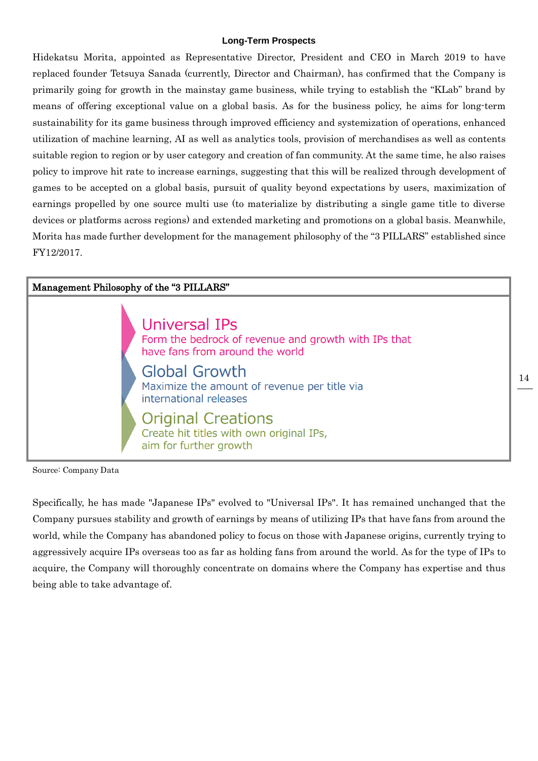#### **Long-Term Prospects**

Hidekatsu Morita, appointed as Representative Director, President and CEO in March 2019 to have replaced founder Tetsuya Sanada (currently, Director and Chairman), has confirmed that the Company is primarily going for growth in the mainstay game business, while trying to establish the "KLab" brand by means of offering exceptional value on a global basis. As for the business policy, he aims for long-term sustainability for its game business through improved efficiency and systemization of operations, enhanced utilization of machine learning, AI as well as analytics tools, provision of merchandises as well as contents suitable region to region or by user category and creation of fan community. At the same time, he also raises policy to improve hit rate to increase earnings, suggesting that this will be realized through development of games to be accepted on a global basis, pursuit of quality beyond expectations by users, maximization of earnings propelled by one source multi use (to materialize by distributing a single game title to diverse devices or platforms across regions) and extended marketing and promotions on a global basis. Meanwhile, Morita has made further development for the management philosophy of the "3 PILLARS" established since FY12/2017.



Source: Company Data

Specifically, he has made "Japanese IPs" evolved to "Universal IPs". It has remained unchanged that the Company pursues stability and growth of earnings by means of utilizing IPs that have fans from around the world, while the Company has abandoned policy to focus on those with Japanese origins, currently trying to aggressively acquire IPs overseas too as far as holding fans from around the world. As for the type of IPs to acquire, the Company will thoroughly concentrate on domains where the Company has expertise and thus being able to take advantage of.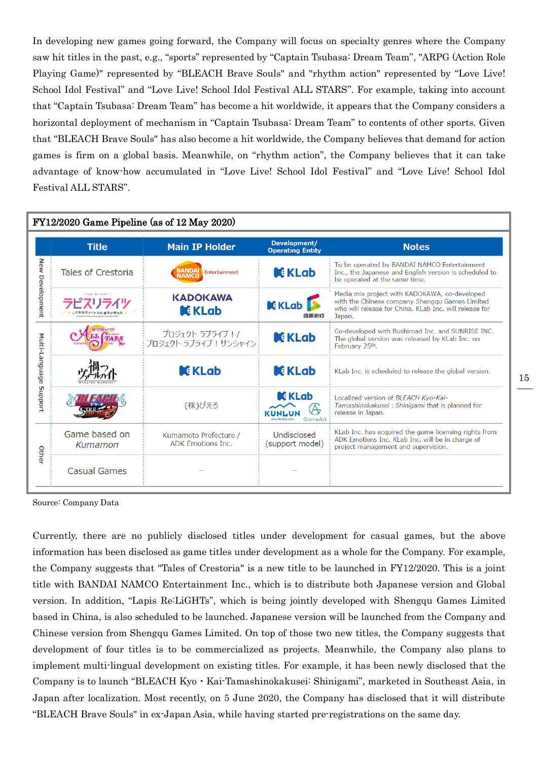In developing new games going forward, the Company will focus on specialty genres where the Company saw hit titles in the past, e.g., "sports" represented by "Captain Tsubasa: Dream Team", "ARPG (Action Role Playing Game)" represented by "BLEACH Brave Souls" and "rhythm action" represented by "Love Live! School Idol Festival" and "Love Live! School Idol Festival ALL STARS". For example, taking into account that "Captain Tsubasa: Dream Team" has become a hit worldwide, it appears that the Company considers a horizontal deployment of mechanism in "Captain Tsubasa: Dream Team" to contents of other sports. Given that "BLEACH Brave Souls" has also become a hit worldwide, the Company believes that demand for action games is firm on a global basis. Meanwhile, on "rhythm action", the Company believes that it can take advantage of know-how accumulated in "Love Live! School Idol Festival" and "Love Live! School Idol Festival ALL STARS".

|                    |                          | FY12/2020 Game Pipeline (as of 12 May 2020)       |                                         |                                                                                                                                                                     |
|--------------------|--------------------------|---------------------------------------------------|-----------------------------------------|---------------------------------------------------------------------------------------------------------------------------------------------------------------------|
|                    | <b>Title</b>             | <b>Main IP Holder</b>                             | Development/<br><b>Operating Entity</b> | <b>Notes</b>                                                                                                                                                        |
| <b>New</b>         | Tales of Crestoria       | <b>BANDA<br/>NAMCC</b><br><b>Entertainment</b>    | <b>K</b> KLab                           | To be operated by BANDAI NAMCO Entertainment<br>Inc., the Japanese and English version is scheduled to<br>be operated at the same time.                             |
| <b>Development</b> | Lamis Reclifikts 3       | <b>KADOKAWA</b><br><b>K</b> KLab                  | <b>K</b> KLab<br>盛趣游戏                   | Media mix project with KADOKAWA, co-developed<br>with the Chinese company Shenggu Games Limited<br>who will release for China. KLab Inc. will release for<br>Japan. |
|                    |                          | プロジェクト ラブライブ!/<br>プロジェクト ラブライブ ! サンシャイン           | <b>K</b> KLab                           | Co-developed with Bushiroad Inc. and SUNRISE INC.<br>The global version was released by KLab Inc. on<br>February 25 <sup>th</sup> .                                 |
| Multi-Language     |                          | <b>C</b> KLab                                     | <b>C</b> KLab                           | KLab Inc. is scheduled to release the global version.                                                                                                               |
| <b>Proport</b>     |                          | (株)ぴえろ                                            | <b>C</b> KLab<br>CUNLUN<br>GameArk      | Localized version of BLEACH Kyo·Kai-<br>Tamashinokakusei : Shinigami that is planned for<br>release in Japan.                                                       |
| Other              | Game based on<br>Kumamon | Kumamoto Prefecture /<br><b>ADK Emotions Inc.</b> | Undisclosed<br>(support model)          | KLab Inc. has acquired the game licensing rights from<br>ADK Emotions Inc. KLab Inc. will be in charge of<br>project management and supervision.                    |
|                    | Casual Games             |                                                   |                                         |                                                                                                                                                                     |

Source: Company Data

Currently, there are no publicly disclosed titles under development for casual games, but the above information has been disclosed as game titles under development as a whole for the Company. For example, the Company suggests that "Tales of Crestoria" is a new title to be launched in FY12/2020. This is a joint title with BANDAI NAMCO Entertainment Inc., which is to distribute both Japanese version and Global version. In addition, "Lapis Re:LiGHTs", which is being jointly developed with Shengqu Games Limited based in China, is also scheduled to be launched. Japanese version will be launched from the Company and Chinese version from Shengqu Games Limited. On top of those two new titles, the Company suggests that development of four titles is to be commercialized as projects. Meanwhile, the Company also plans to implement multi-lingual development on existing titles. For example, it has been newly disclosed that the Company is to launch "BLEACH Kyo・Kai-Tamashinokakusei: Shinigami", marketed in Southeast Asia, in Japan after localization. Most recently, on 5 June 2020, the Company has disclosed that it will distribute "BLEACH Brave Souls" in ex-Japan Asia, while having started pre-registrations on the same day.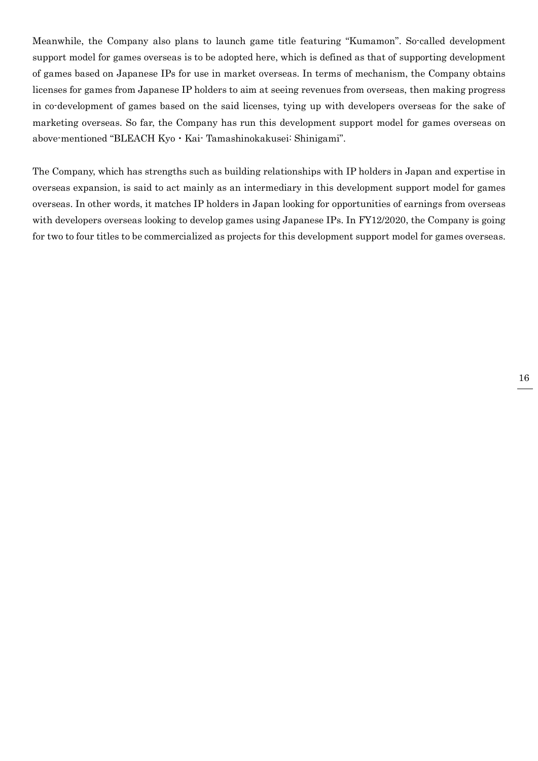Meanwhile, the Company also plans to launch game title featuring "Kumamon". So-called development support model for games overseas is to be adopted here, which is defined as that of supporting development of games based on Japanese IPs for use in market overseas. In terms of mechanism, the Company obtains licenses for games from Japanese IP holders to aim at seeing revenues from overseas, then making progress in co-development of games based on the said licenses, tying up with developers overseas for the sake of marketing overseas. So far, the Company has run this development support model for games overseas on above-mentioned "BLEACH Kyo・Kai- Tamashinokakusei: Shinigami".

The Company, which has strengths such as building relationships with IP holders in Japan and expertise in overseas expansion, is said to act mainly as an intermediary in this development support model for games overseas. In other words, it matches IP holders in Japan looking for opportunities of earnings from overseas with developers overseas looking to develop games using Japanese IPs. In FY12/2020, the Company is going for two to four titles to be commercialized as projects for this development support model for games overseas.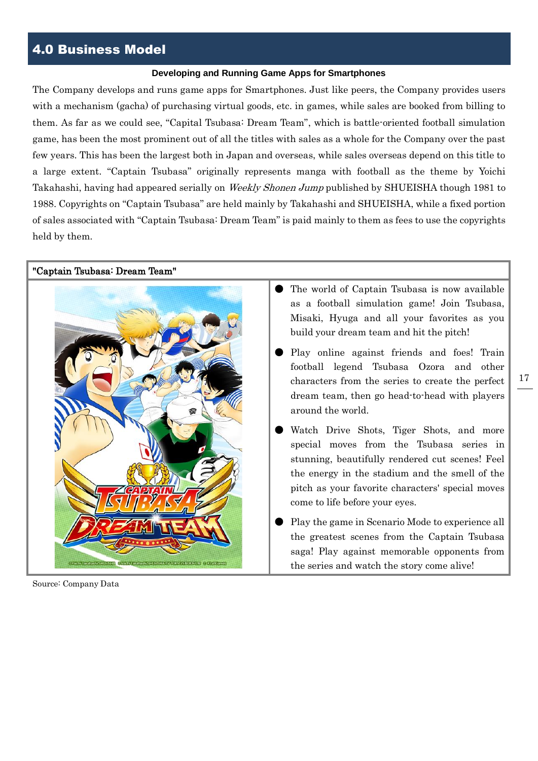## 4.0 Business Model

#### **Developing and Running Game Apps for Smartphones**

The Company develops and runs game apps for Smartphones. Just like peers, the Company provides users with a mechanism (gacha) of purchasing virtual goods, etc. in games, while sales are booked from billing to them. As far as we could see, "Capital Tsubasa: Dream Team", which is battle-oriented football simulation game, has been the most prominent out of all the titles with sales as a whole for the Company over the past few years. This has been the largest both in Japan and overseas, while sales overseas depend on this title to a large extent. "Captain Tsubasa" originally represents manga with football as the theme by Yoichi Takahashi, having had appeared serially on Weekly Shonen Jump published by SHUEISHA though 1981 to 1988. Copyrights on "Captain Tsubasa" are held mainly by Takahashi and SHUEISHA, while a fixed portion of sales associated with "Captain Tsubasa: Dream Team" is paid mainly to them as fees to use the copyrights held by them.

"Captain Tsubasa: Dream Team"



Source: Company Data

- The world of Captain Tsubasa is now available as a football simulation game! Join Tsubasa, Misaki, Hyuga and all your favorites as you build your dream team and hit the pitch!
- Play online against friends and foes! Train football legend Tsubasa Ozora and other characters from the series to create the perfect dream team, then go head-to-head with players around the world.
- Watch Drive Shots, Tiger Shots, and more special moves from the Tsubasa series in stunning, beautifully rendered cut scenes! Feel the energy in the stadium and the smell of the pitch as your favorite characters' special moves come to life before your eyes.
- Play the game in Scenario Mode to experience all the greatest scenes from the Captain Tsubasa saga! Play against memorable opponents from the series and watch the story come alive!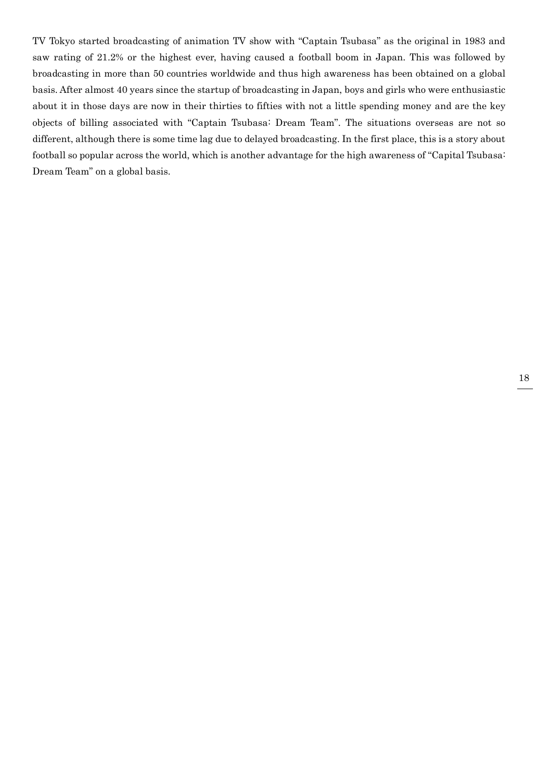TV Tokyo started broadcasting of animation TV show with "Captain Tsubasa" as the original in 1983 and saw rating of 21.2% or the highest ever, having caused a football boom in Japan. This was followed by broadcasting in more than 50 countries worldwide and thus high awareness has been obtained on a global basis. After almost 40 years since the startup of broadcasting in Japan, boys and girls who were enthusiastic about it in those days are now in their thirties to fifties with not a little spending money and are the key objects of billing associated with "Captain Tsubasa: Dream Team". The situations overseas are not so different, although there is some time lag due to delayed broadcasting. In the first place, this is a story about football so popular across the world, which is another advantage for the high awareness of "Capital Tsubasa: Dream Team" on a global basis.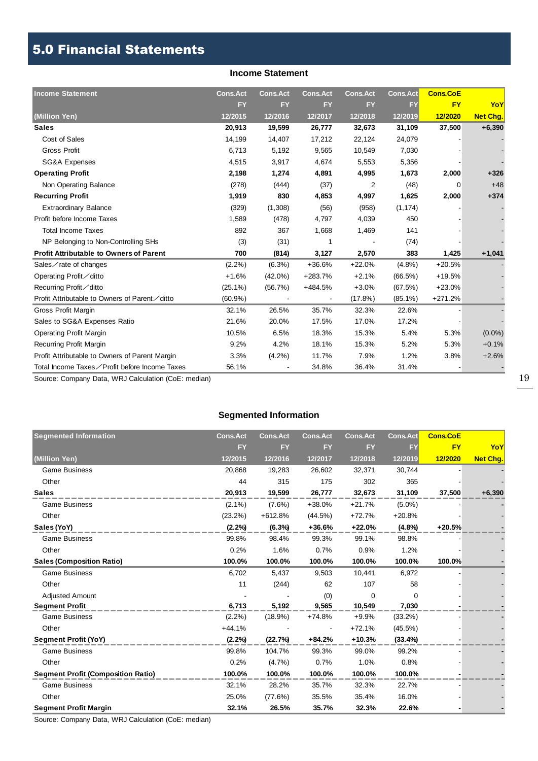## 5.0 Financial Statements

#### **Income Statement**

| <b>Income Statement</b>                        | <b>Cons.Act</b> | <b>Cons.Act</b> | <b>Cons.Act</b>          | <b>Cons.Act</b> | <b>Cons.Act</b> | <b>Cons.CoE</b> |                 |
|------------------------------------------------|-----------------|-----------------|--------------------------|-----------------|-----------------|-----------------|-----------------|
|                                                | <b>FY</b>       | <b>FY</b>       | <b>FY</b>                | <b>FY</b>       | <b>FY</b>       | <b>FY</b>       | YoY             |
| (Million Yen)                                  | 12/2015         | 12/2016         | 12/2017                  | 12/2018         | 12/2019         | 12/2020         | <b>Net Chg.</b> |
| <b>Sales</b>                                   | 20,913          | 19,599          | 26,777                   | 32,673          | 31,109          | 37,500          | $+6,390$        |
| Cost of Sales                                  | 14,199          | 14,407          | 17,212                   | 22,124          | 24,079          |                 |                 |
| <b>Gross Profit</b>                            | 6,713           | 5,192           | 9,565                    | 10,549          | 7,030           |                 |                 |
| <b>SG&amp;A Expenses</b>                       | 4,515           | 3,917           | 4,674                    | 5,553           | 5,356           |                 |                 |
| <b>Operating Profit</b>                        | 2,198           | 1,274           | 4,891                    | 4,995           | 1,673           | 2,000           | $+326$          |
| Non Operating Balance                          | (278)           | (444)           | (37)                     | 2               | (48)            | $\Omega$        | $+48$           |
| <b>Recurring Profit</b>                        | 1,919           | 830             | 4,853                    | 4,997           | 1,625           | 2,000           | $+374$          |
| <b>Extraordinary Balance</b>                   | (329)           | (1,308)         | (56)                     | (958)           | (1, 174)        |                 |                 |
| Profit before Income Taxes                     | 1,589           | (478)           | 4,797                    | 4,039           | 450             |                 |                 |
| <b>Total Income Taxes</b>                      | 892             | 367             | 1,668                    | 1,469           | 141             |                 |                 |
| NP Belonging to Non-Controlling SHs            | (3)             | (31)            |                          |                 | (74)            |                 |                 |
| <b>Profit Attributable to Owners of Parent</b> | 700             | (814)           | 3,127                    | 2,570           | 383             | 1,425           | $+1,041$        |
| Sales $\angle$ rate of changes                 | (2.2%)          | $(6.3\%)$       | +36.6%                   | $+22.0%$        | (4.8%)          | $+20.5%$        |                 |
| Operating Profit∕ditto                         | $+1.6%$         | $(42.0\%)$      | +283.7%                  | $+2.1%$         | (66.5%)         | $+19.5%$        |                 |
| Recurring Profit∕ditto                         | $(25.1\%)$      | (56.7%)         | +484.5%                  | $+3.0%$         | (67.5%)         | $+23.0%$        |                 |
| Profit Attributable to Owners of Parent∕ditto  | $(60.9\%)$      |                 | $\overline{\phantom{a}}$ | $(17.8\%)$      | $(85.1\%)$      | $+271.2%$       |                 |
| Gross Profit Margin                            | 32.1%           | 26.5%           | 35.7%                    | 32.3%           | 22.6%           |                 |                 |
| Sales to SG&A Expenses Ratio                   | 21.6%           | 20.0%           | 17.5%                    | 17.0%           | 17.2%           |                 |                 |
| <b>Operating Profit Margin</b>                 | 10.5%           | 6.5%            | 18.3%                    | 15.3%           | 5.4%            | 5.3%            | $(0.0\%)$       |
| <b>Recurring Profit Margin</b>                 | 9.2%            | 4.2%            | 18.1%                    | 15.3%           | 5.2%            | 5.3%            | $+0.1%$         |
| Profit Attributable to Owners of Parent Margin | 3.3%            | $(4.2\%)$       | 11.7%                    | 7.9%            | 1.2%            | 3.8%            | $+2.6%$         |
| Total Income Taxes∕Profit before Income Taxes  | 56.1%           |                 | 34.8%                    | 36.4%           | 31.4%           |                 |                 |

Source: Company Data, WRJ Calculation (CoE: median)

### **Segmented Information**

| <b>Segmented Information</b>              | <b>Cons.Act</b> | <b>Cons.Act</b> | <b>Cons.Act</b> | <b>Cons.Act</b> | <b>Cons.Act</b> | <b>Cons.CoE</b> |          |
|-------------------------------------------|-----------------|-----------------|-----------------|-----------------|-----------------|-----------------|----------|
|                                           | <b>FY</b>       | <b>FY</b>       | <b>FY</b>       | <b>FY</b>       | <b>FY</b>       | <b>FY</b>       | YoY      |
| (Million Yen)                             | 12/2015         | 12/2016         | 12/2017         | 12/2018         | 12/2019         | 12/2020         | Net Chg. |
| <b>Game Business</b>                      | 20,868          | 19,283          | 26,602          | 32,371          | 30,744          |                 |          |
| Other                                     | 44              | 315             | 175             | 302             | 365             |                 |          |
| <b>Sales</b>                              | 20,913          | 19,599          | 26,777          | 32,673          | 31,109          | 37,500          | $+6,390$ |
| <b>Game Business</b>                      | $(2.1\%)$       | $(7.6\%)$       | +38.0%          | $+21.7%$        | $(5.0\%)$       |                 |          |
| Other                                     | $(23.2\%)$      | $+612.8%$       | (44.5%)         | $+72.7%$        | $+20.8%$        |                 |          |
| Sales (YoY)                               | (2.2%)          | $(6.3\%)$       | $+36.6%$        | $+22.0%$        | (4.8%)          | $+20.5%$        |          |
| <b>Game Business</b>                      | 99.8%           | 98.4%           | 99.3%           | 99.1%           | 98.8%           |                 |          |
| Other                                     | 0.2%            | 1.6%            | 0.7%            | 0.9%            | 1.2%            |                 |          |
| <b>Sales (Composition Ratio)</b>          | 100.0%          | 100.0%          | 100.0%          | 100.0%          | 100.0%          | 100.0%          |          |
| <b>Game Business</b>                      | 6,702           | 5,437           | 9,503           | 10,441          | 6,972           |                 |          |
| Other                                     | 11              | (244)           | 62              | 107             | 58              |                 |          |
| <b>Adjusted Amount</b>                    |                 |                 | (0)             | $\Omega$        | 0               |                 |          |
| <b>Segment Profit</b>                     | 6,713           | 5,192           | 9,565           | 10,549          | 7,030           |                 |          |
| <b>Game Business</b>                      | $(2.2\%)$       | $(18.9\%)$      | $+74.8%$        | $+9.9%$         | (33.2%)         |                 |          |
| Other                                     | $+44.1%$        |                 |                 | $+72.1%$        | (45.5%)         |                 |          |
| <b>Segment Profit (YoY)</b>               | (2.2%)          | (22.7%)         | $+84.2%$        | $+10.3%$        | (33.4%          |                 |          |
| <b>Game Business</b>                      | 99.8%           | 104.7%          | 99.3%           | 99.0%           | 99.2%           |                 |          |
| Other                                     | 0.2%            | (4.7%)          | 0.7%            | 1.0%            | 0.8%            |                 |          |
| <b>Segment Profit (Composition Ratio)</b> | 100.0%          | 100.0%          | 100.0%          | 100.0%          | 100.0%          |                 |          |
| <b>Game Business</b>                      | 32.1%           | 28.2%           | 35.7%           | 32.3%           | 22.7%           |                 |          |
| Other                                     | 25.0%           | (77.6%)         | 35.5%           | 35.4%           | 16.0%           |                 |          |
| <b>Segment Profit Margin</b>              | 32.1%           | 26.5%           | 35.7%           | 32.3%           | 22.6%           |                 |          |

Source: Company Data, WRJ Calculation (CoE: median)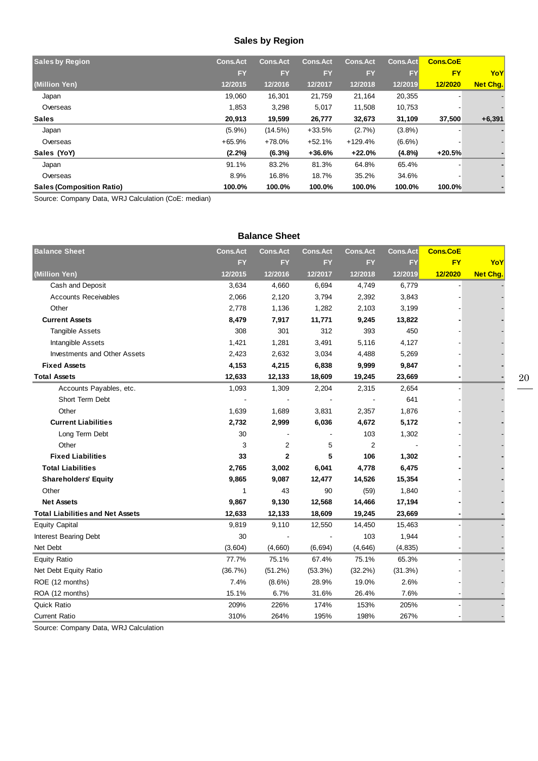## **Sales by Region**

| <b>Sales by Region</b>           | <b>Cons.Act</b> | <b>Cons.Act</b> | <b>Cons.Act</b> | <b>Cons.Act</b> | <b>Cons.Act</b> | <b>Cons.CoE</b> |          |
|----------------------------------|-----------------|-----------------|-----------------|-----------------|-----------------|-----------------|----------|
|                                  | FY              | <b>FY</b>       | <b>FY</b>       | <b>FY</b>       | <b>FY</b>       | <b>FY</b>       | YoY      |
| (Million Yen)                    | 12/2015         | 12/2016         | 12/2017         | 12/2018         | 12/2019         | 12/2020         | Net Cha. |
| Japan                            | 19,060          | 16,301          | 21,759          | 21,164          | 20,355          |                 |          |
| Overseas                         | 1,853           | 3,298           | 5,017           | 11,508          | 10,753          |                 |          |
| <b>Sales</b>                     | 20,913          | 19,599          | 26,777          | 32,673          | 31,109          | 37,500          | $+6,391$ |
| Japan                            | $(5.9\%)$       | (14.5%)         | $+33.5%$        | (2.7%)          | (3.8%)          |                 |          |
| Overseas                         | $+65.9%$        | $+78.0%$        | $+52.1%$        | $+129.4%$       | $(6.6\%)$       |                 |          |
| Sales (YoY)                      | (2.2%)          | (6.3%)          | $+36.6%$        | $+22.0%$        | $(4.8\%)$       | $+20.5%$        |          |
| Japan                            | 91.1%           | 83.2%           | 81.3%           | 64.8%           | 65.4%           |                 |          |
| Overseas                         | 8.9%            | 16.8%           | 18.7%           | 35.2%           | 34.6%           |                 |          |
| <b>Sales (Composition Ratio)</b> | 100.0%          | 100.0%          | 100.0%          | 100.0%          | 100.0%          | 100.0%          |          |

Source: Company Data, WRJ Calculation (CoE: median)

| <b>Balance Sheet</b>                    |                 |                 |                 |                 |                 |                 |                 |
|-----------------------------------------|-----------------|-----------------|-----------------|-----------------|-----------------|-----------------|-----------------|
| <b>Balance Sheet</b>                    | <b>Cons.Act</b> | <b>Cons.Act</b> | <b>Cons.Act</b> | <b>Cons.Act</b> | <b>Cons.Act</b> | <b>Cons.CoE</b> |                 |
|                                         | <b>FY</b>       | <b>FY</b>       | <b>FY</b>       | <b>FY</b>       | <b>FY</b>       | <b>FY</b>       | YoY             |
| (Million Yen)                           | 12/2015         | 12/2016         | 12/2017         | 12/2018         | 12/2019         | 12/2020         | <b>Net Chg.</b> |
| Cash and Deposit                        | 3,634           | 4,660           | 6,694           | 4,749           | 6,779           |                 |                 |
| <b>Accounts Receivables</b>             | 2,066           | 2,120           | 3,794           | 2,392           | 3,843           |                 |                 |
| Other                                   | 2,778           | 1,136           | 1,282           | 2,103           | 3,199           |                 |                 |
| <b>Current Assets</b>                   | 8,479           | 7,917           | 11,771          | 9,245           | 13,822          |                 |                 |
| <b>Tangible Assets</b>                  | 308             | 301             | 312             | 393             | 450             |                 |                 |
| Intangible Assets                       | 1,421           | 1,281           | 3,491           | 5,116           | 4,127           |                 |                 |
| Investments and Other Assets            | 2,423           | 2,632           | 3,034           | 4,488           | 5,269           |                 |                 |
| <b>Fixed Assets</b>                     | 4,153           | 4,215           | 6,838           | 9,999           | 9,847           |                 |                 |
| <b>Total Assets</b>                     | 12,633          | 12,133          | 18,609          | 19,245          | 23,669          |                 |                 |
| Accounts Payables, etc.                 | 1,093           | 1,309           | 2,204           | 2,315           | 2,654           |                 |                 |
| Short Term Debt                         |                 |                 |                 |                 | 641             |                 |                 |
| Other                                   | 1,639           | 1,689           | 3,831           | 2,357           | 1,876           |                 |                 |
| <b>Current Liabilities</b>              | 2,732           | 2,999           | 6,036           | 4,672           | 5,172           |                 |                 |
| Long Term Debt                          | 30              |                 |                 | 103             | 1,302           |                 |                 |
| Other                                   | 3               | $\overline{2}$  | 5               | $\overline{2}$  |                 |                 |                 |
| <b>Fixed Liabilities</b>                | 33              | $\mathbf{2}$    | 5               | 106             | 1,302           |                 |                 |
| <b>Total Liabilities</b>                | 2,765           | 3,002           | 6,041           | 4,778           | 6,475           |                 |                 |
| <b>Shareholders' Equity</b>             | 9,865           | 9,087           | 12,477          | 14,526          | 15,354          |                 |                 |
| Other                                   | 1               | 43              | 90              | (59)            | 1,840           |                 |                 |
| <b>Net Assets</b>                       | 9,867           | 9,130           | 12,568          | 14,466          | 17,194          |                 |                 |
| <b>Total Liabilities and Net Assets</b> | 12,633          | 12,133          | 18,609          | 19,245          | 23,669          |                 |                 |
| <b>Equity Capital</b>                   | 9,819           | 9,110           | 12,550          | 14,450          | 15,463          |                 |                 |
| <b>Interest Bearing Debt</b>            | 30              |                 |                 | 103             | 1,944           |                 |                 |
| Net Debt                                | (3,604)         | (4,660)         | (6, 694)        | (4,646)         | (4, 835)        |                 |                 |
| <b>Equity Ratio</b>                     | 77.7%           | 75.1%           | 67.4%           | 75.1%           | 65.3%           |                 |                 |
| Net Debt Equity Ratio                   | (36.7%)         | (51.2%)         | (53.3%)         | $(32.2\%)$      | (31.3%)         |                 |                 |
| ROE (12 months)                         | 7.4%            | $(8.6\%)$       | 28.9%           | 19.0%           | 2.6%            |                 |                 |
| ROA (12 months)                         | 15.1%           | 6.7%            | 31.6%           | 26.4%           | 7.6%            |                 |                 |
| Quick Ratio                             | 209%            | 226%            | 174%            | 153%            | 205%            |                 |                 |
| <b>Current Ratio</b>                    | 310%            | 264%            | 195%            | 198%            | 267%            |                 |                 |

Source: Company Data, WRJ Calculation

20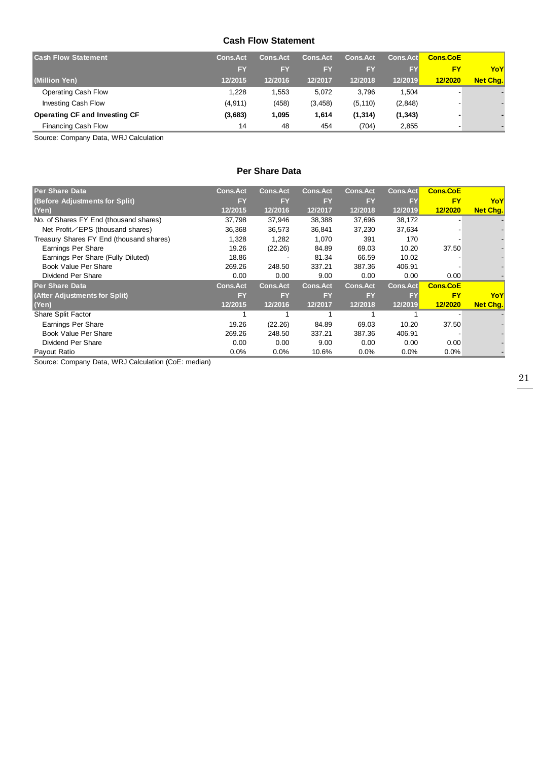#### **Cash Flow Statement**

| <b>Cash Flow Statement</b>           | <b>Cons.Act</b> | <b>Cons.Act</b> | <b>Cons.Act</b> | <b>Cons.Act</b> | <b>Cons.Act</b> | <b>Cons.CoE</b> |          |
|--------------------------------------|-----------------|-----------------|-----------------|-----------------|-----------------|-----------------|----------|
|                                      | EY              | FY              | EY              | FY              | FΥ              | <b>FY</b>       | YoY      |
| (Million Yen)                        | 12/2015         | 12/2016         | 12/2017         | 12/2018         | 12/2019         | 12/2020         | Net Chg. |
| Operating Cash Flow                  | 1.228           | 1.553           | 5.072           | 3.796           | 1.504           |                 |          |
| <b>Investing Cash Flow</b>           | (4, 911)        | (458)           | (3, 458)        | (5, 110)        | (2,848)         |                 |          |
| <b>Operating CF and Investing CF</b> | (3,683)         | 1,095           | 1.614           | (1, 314)        | (1, 343)        |                 |          |
| Financing Cash Flow                  | 14              | 48              | 454             | (704)           | 2,855           |                 |          |

Source: Company Data, WRJ Calculation

#### **Per Share Data**

| <b>Per Share Data</b>                    | <b>Cons.Act</b> | <b>Cons.Act</b> | <b>Cons.Act</b> | <b>Cons.Act</b> | <b>Cons.Act</b> | <b>Cons.CoE</b> |                 |
|------------------------------------------|-----------------|-----------------|-----------------|-----------------|-----------------|-----------------|-----------------|
| (Before Adjustments for Split)           | <b>FY</b>       | <b>FY</b>       | <b>FY</b>       | <b>FY</b>       | <b>FY</b>       | <b>FY</b>       | YoY             |
| (Yen)                                    | 12/2015         | 12/2016         | 12/2017         | 12/2018         | 12/2019         | 12/2020         | <b>Net Chg.</b> |
| No. of Shares FY End (thousand shares)   | 37,798          | 37,946          | 38,388          | 37,696          | 38,172          |                 |                 |
| Net Profit/EPS (thousand shares)         | 36,368          | 36,573          | 36,841          | 37,230          | 37,634          |                 |                 |
| Treasury Shares FY End (thousand shares) | 1,328           | 1,282           | 1,070           | 391             | 170             |                 |                 |
| <b>Earnings Per Share</b>                | 19.26           | (22.26)         | 84.89           | 69.03           | 10.20           | 37.50           |                 |
| Earnings Per Share (Fully Diluted)       | 18.86           |                 | 81.34           | 66.59           | 10.02           |                 |                 |
| Book Value Per Share                     | 269.26          | 248.50          | 337.21          | 387.36          | 406.91          |                 |                 |
| Dividend Per Share                       | 0.00            | 0.00            | 9.00            | 0.00            | 0.00            | 0.00            |                 |
| <b>Per Share Data</b>                    | <b>Cons.Act</b> | <b>Cons.Act</b> | <b>Cons.Act</b> | <b>Cons.Act</b> | <b>Cons.Act</b> | <b>Cons.CoE</b> |                 |
| (After Adjustments for Split)            | <b>FY</b>       | <b>FY</b>       | <b>FY</b>       | <b>FY</b>       | EY              | <b>FY</b>       | YoY             |
| (Yen)                                    | 12/2015         | 12/2016         | 12/2017         | 12/2018         | 12/2019         | 12/2020         | Net Chg.        |
| Share Split Factor                       |                 |                 |                 |                 |                 |                 |                 |
| <b>Earnings Per Share</b>                | 19.26           | (22.26)         | 84.89           | 69.03           | 10.20           | 37.50           |                 |
| Book Value Per Share                     | 269.26          | 248.50          | 337.21          | 387.36          | 406.91          |                 |                 |
| Dividend Per Share                       | 0.00            | 0.00            | 9.00            | 0.00            | 0.00            | 0.00            |                 |
| Payout Ratio                             | 0.0%            | 0.0%            | 10.6%           | $0.0\%$         | $0.0\%$         | 0.0%            |                 |

Source: Company Data, WRJ Calculation (CoE: median)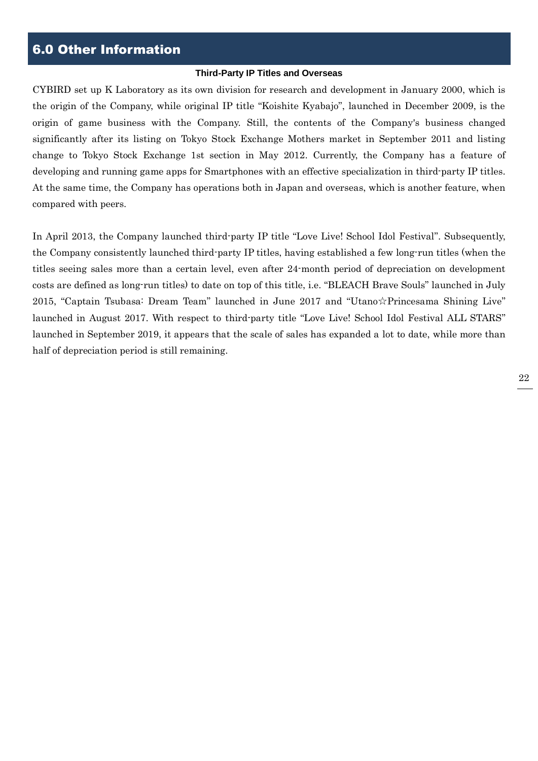## 6.0 Other Information

#### **Third-Party IP Titles and Overseas**

CYBIRD set up K Laboratory as its own division for research and development in January 2000, which is the origin of the Company, while original IP title "Koishite Kyabajo", launched in December 2009, is the origin of game business with the Company. Still, the contents of the Company's business changed significantly after its listing on Tokyo Stock Exchange Mothers market in September 2011 and listing change to Tokyo Stock Exchange 1st section in May 2012. Currently, the Company has a feature of developing and running game apps for Smartphones with an effective specialization in third-party IP titles. At the same time, the Company has operations both in Japan and overseas, which is another feature, when compared with peers.

In April 2013, the Company launched third-party IP title "Love Live! School Idol Festival". Subsequently, the Company consistently launched third-party IP titles, having established a few long-run titles (when the titles seeing sales more than a certain level, even after 24-month period of depreciation on development costs are defined as long-run titles) to date on top of this title, i.e. "BLEACH Brave Souls" launched in July 2015, "Captain Tsubasa: Dream Team" launched in June 2017 and "Utano☆Princesama Shining Live" launched in August 2017. With respect to third-party title "Love Live! School Idol Festival ALL STARS" launched in September 2019, it appears that the scale of sales has expanded a lot to date, while more than half of depreciation period is still remaining.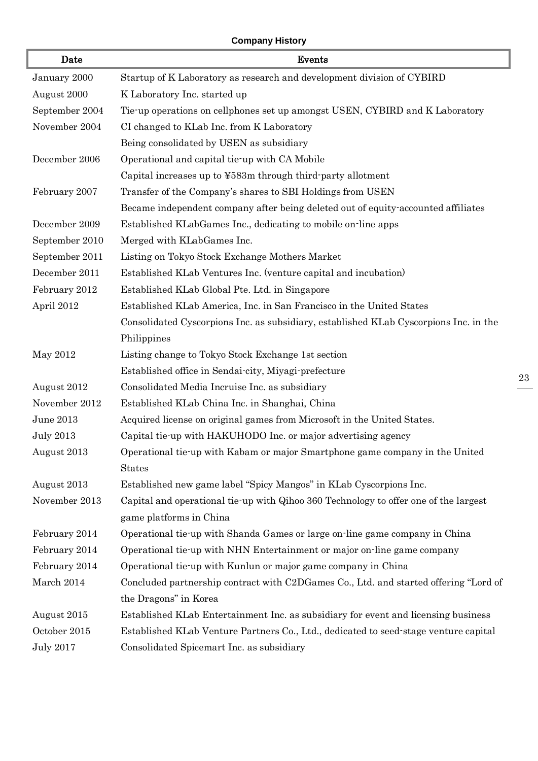## **Company History**

| Date             | Events                                                                                |
|------------------|---------------------------------------------------------------------------------------|
| January 2000     | Startup of K Laboratory as research and development division of CYBIRD                |
| August 2000      | K Laboratory Inc. started up                                                          |
| September 2004   | Tie-up operations on cellphones set up amongst USEN, CYBIRD and K Laboratory          |
| November 2004    | CI changed to KLab Inc. from K Laboratory                                             |
|                  | Being consolidated by USEN as subsidiary                                              |
| December 2006    | Operational and capital tie-up with CA Mobile                                         |
|                  | Capital increases up to ¥583m through third party allotment                           |
| February 2007    | Transfer of the Company's shares to SBI Holdings from USEN                            |
|                  | Became independent company after being deleted out of equity-accounted affiliates     |
| December 2009    | Established KLabGames Inc., dedicating to mobile on-line apps                         |
| September 2010   | Merged with KLabGames Inc.                                                            |
| September 2011   | Listing on Tokyo Stock Exchange Mothers Market                                        |
| December 2011    | Established KLab Ventures Inc. (venture capital and incubation)                       |
| February 2012    | Established KLab Global Pte. Ltd. in Singapore                                        |
| April 2012       | Established KLab America, Inc. in San Francisco in the United States                  |
|                  | Consolidated Cyscorpions Inc. as subsidiary, established KLab Cyscorpions Inc. in the |
|                  | Philippines                                                                           |
| May 2012         | Listing change to Tokyo Stock Exchange 1st section                                    |
|                  | Established office in Sendai city, Miyagi prefecture                                  |
| August 2012      | Consolidated Media Incruise Inc. as subsidiary                                        |
| November 2012    | Established KLab China Inc. in Shanghai, China                                        |
| June 2013        | Acquired license on original games from Microsoft in the United States.               |
| <b>July 2013</b> | Capital tie-up with HAKUHODO Inc. or major advertising agency                         |
| August 2013      | Operational tie-up with Kabam or major Smartphone game company in the United          |
|                  | <b>States</b>                                                                         |
| August 2013      | Established new game label "Spicy Mangos" in KLab Cyscorpions Inc.                    |
| November 2013    | Capital and operational tie-up with Qihoo 360 Technology to offer one of the largest  |
|                  | game platforms in China                                                               |
| February 2014    | Operational tie-up with Shanda Games or large on-line game company in China           |
| February 2014    | Operational tie-up with NHN Entertainment or major on-line game company               |
| February 2014    | Operational tie-up with Kunlun or major game company in China                         |
| March 2014       | Concluded partnership contract with C2DGames Co., Ltd. and started offering "Lord of  |
|                  | the Dragons" in Korea                                                                 |
| August 2015      | Established KLab Entertainment Inc. as subsidiary for event and licensing business    |
| October 2015     | Established KLab Venture Partners Co., Ltd., dedicated to seed-stage venture capital  |
| <b>July 2017</b> | Consolidated Spicemart Inc. as subsidiary                                             |